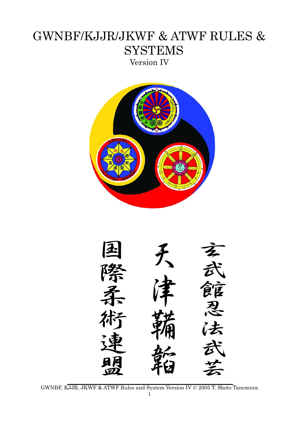# GWNBF/KJJR/JKWF & ATWF RULES & **SYSTEMS** Version IV



忍 法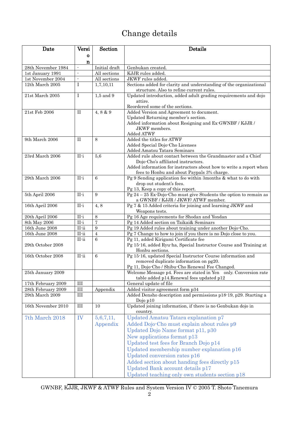# Change details

| Date                | Versi                    | Section         | Details                                                                                                          |
|---------------------|--------------------------|-----------------|------------------------------------------------------------------------------------------------------------------|
|                     | $\mathbf{o}$             |                 |                                                                                                                  |
|                     | n                        |                 |                                                                                                                  |
| 28th November 1984  | $\overline{\phantom{a}}$ | Initial draft   | Genbukan created.                                                                                                |
| 1st January 1991    | ä,                       | All sections    | KJJR rules added.                                                                                                |
| 1st November 2004   | $\overline{\phantom{a}}$ | All sections    | JKWF rules added.                                                                                                |
| $12th$ March $2005$ | L                        | 1,7,10,11       | Sections added for clarity and understanding of the organizational                                               |
|                     |                          |                 | structure. Also to refine current rules.                                                                         |
| 21st March 2005     | I                        | $1,5$ and $9$   | Updated introduction, added adult grading requirements and dojo                                                  |
|                     |                          |                 | attire.<br>Reordered some of the sections.                                                                       |
| 21st Feb 2006       | $\rm II$                 | 4, 8 & 9        | Added Version and Agreement to document.                                                                         |
|                     |                          |                 | Updated Returning member's section.                                                                              |
|                     |                          |                 | Added information about Resigning and Ex-GWNBF / KJJR /                                                          |
|                     |                          |                 | JKWF members.                                                                                                    |
|                     |                          |                 | Added ATWF                                                                                                       |
| 9th March 2006      | $\rm II$                 | 8               | Added the titles for ATWF                                                                                        |
|                     |                          |                 | Added Special Dojo-Cho Licenses                                                                                  |
|                     |                          |                 | Added Amatsu Tatara Seminars                                                                                     |
| 23rd March 2006     | $II-i$                   | 5,6             | Added rule about contact between the Grandmaster and a Chief                                                     |
|                     |                          |                 | Dojo-Cho's affiliated instructors.                                                                               |
|                     |                          |                 | Added information for instructors about how to write a report when<br>fees to Honbu and about Paypals 3% charge. |
| 29th March 2006     | $II-i$                   | 6               | Pg 9 Sending application fee within 3months & what to do with                                                    |
|                     |                          |                 | drop out student's fees.                                                                                         |
|                     |                          |                 | Pg 13, Keep a copy of this report.                                                                               |
| 5th April 2006      | $II-i$                   | 9               | $\overline{Pg}$ 24 – 25 Ex-Dojo-Cho must give Students the option to remain as                                   |
|                     |                          |                 | a GWNBF / KJJR / JKWF/ATWF member.                                                                               |
| 16th April 2006     | $II-i$                   | 4, 8            | Pg 7 & 15 Added criteria for joining and learning JKWF and                                                       |
|                     |                          |                 | Weapons tests.                                                                                                   |
| 20th April 2006     | $II-i$                   | 8               | Pg 16 Age requirements for Shodan and Yondan                                                                     |
| 8th May 2006        | $II-i$                   | 7               | Pg 14 Added section on Taikai& Seminars                                                                          |
| 16th June 2008      | $II$ -ii                 | 9<br>$\sqrt{4}$ | Pg 19 Added rules about training under another Dojo-Cho.                                                         |
| 16th June 2008      | $II$ -ii<br>II-ii        | $\,6\,$         | Pg 7 Change to how to join if you there is no Dojo close to you.<br>Pg 11, added Kirigami Certificate fee        |
| 29th October 2008   |                          |                 | Pg 15-16, added Ryu-ha, Special Instructor Course and Training at                                                |
|                     |                          |                 | Honbu sections.                                                                                                  |
| 16th October 2008   | $II$ -ii                 | $\,6\,$         | Pg 15-16, updated Special Instructor Course information and                                                      |
|                     |                          |                 | removed duplicate information on pg20.                                                                           |
|                     |                          |                 | Pg 11, Dojo-Cho / Shibu-Cho Renewal Fee Changed.                                                                 |
| 25th January 2009   |                          |                 | Welcome Message p4. Fees are stated in Yen only. Conversion rate                                                 |
|                     |                          |                 | table added p14. Renewal fees updated p12                                                                        |
| 17th February 2009  | $\rm III$                |                 | General update of file                                                                                           |
| 28th February 2009  | $\rm III$                | Appendix        | Added visitor agreement form p34                                                                                 |
| 29th March 2009     | $\rm III$                |                 | Added Densho description and permissions p18-19, p29. Starting a                                                 |
| 16th November 2010  | III                      | 10              | Dojo $p10$<br>Updated joining information, if there is no Genbukan dojo in                                       |
|                     |                          |                 | country.                                                                                                         |
| 7th March 2018      | IV                       | 5,6,7,11,       | Updated Amatsu Tatara explanation p7                                                                             |
|                     |                          | Appendix        | Added Dojo-Cho must explain about rules p9                                                                       |
|                     |                          |                 | Updated Dojo Name format p11, p30                                                                                |
|                     |                          |                 | New applications format p13                                                                                      |
|                     |                          |                 |                                                                                                                  |
|                     |                          |                 | Updated test fees for Branch Dojo p14                                                                            |
|                     |                          |                 | Updated membership number explanation p16                                                                        |
|                     |                          |                 | Updated conversion rates p16                                                                                     |
|                     |                          |                 | Added section about handing fees directly p15                                                                    |
|                     |                          |                 | Updated Bank account details p17                                                                                 |
|                     |                          |                 | Updated teaching only own students section p18                                                                   |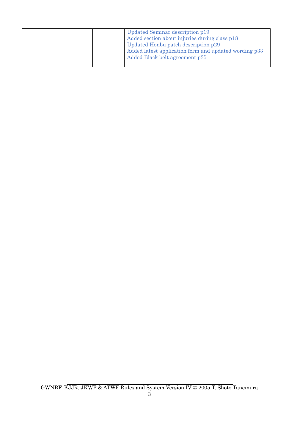| Updated Seminar description p19<br>Added section about injuries during class p18<br>Updated Honbu patch description p29<br>Added latest application form and updated wording p33<br>Added Black belt agreement p35 |  |
|--------------------------------------------------------------------------------------------------------------------------------------------------------------------------------------------------------------------|--|
|--------------------------------------------------------------------------------------------------------------------------------------------------------------------------------------------------------------------|--|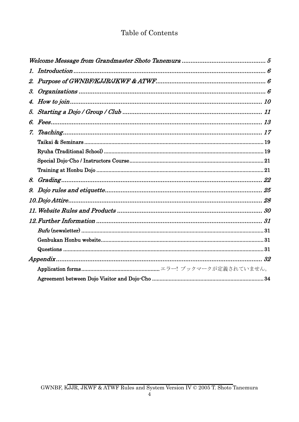## Table of Contents

| 1.              |  |
|-----------------|--|
| 2.              |  |
| $\mathcal{S}$ . |  |
| 4.              |  |
|                 |  |
| 6.              |  |
| $Z_{\rm c}$     |  |
|                 |  |
|                 |  |
|                 |  |
|                 |  |
|                 |  |
| 9.              |  |
|                 |  |
|                 |  |
|                 |  |
|                 |  |
|                 |  |
|                 |  |
|                 |  |
|                 |  |
|                 |  |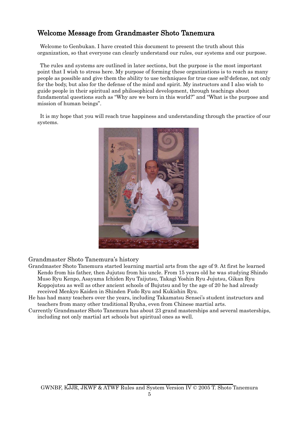## <span id="page-4-0"></span>Welcome Message from Grandmaster Shoto Tanemura

Welcome to Genbukan. I have created this document to present the truth about this organization, so that everyone can clearly understand our rules, our systems and our purpose.

The rules and systems are outlined in later sections, but the purpose is the most important point that I wish to stress here. My purpose of forming these organizations is to reach as many people as possible and give them the ability to use techniques for true case self-defense, not only for the body, but also for the defense of the mind and spirit. My instructors and I also wish to guide people in their spiritual and philosophical development, through teachings about fundamental questions such as "Why are we born in this world?" and "What is the purpose and mission of human beings".

It is my hope that you will reach true happiness and understanding through the practice of our systems.



Grandmaster Shoto Tanemura's history

- Grandmaster Shoto Tanemura started learning martial arts from the age of 9. At first he learned Kendo from his father, then Jujutsu from his uncle. From 15 years old he was studying Shindo Muso Ryu Kenpo, Asayama Ichiden Ryu Taijutsu, Takagi Yoshin Ryu Jujutsu, Gikan Ryu Koppojutsu as well as other ancient schools of Bujutsu and by the age of 20 he had already received Menkyo Kaiden in Shinden Fudo Ryu and Kukishin Ryu.
- He has had many teachers over the years, including Takamatsu Sensei's student instructors and teachers from many other traditional Ryuha, even from Chinese martial arts.
- Currently Grandmaster Shoto Tanemura has about 23 grand masterships and several masterships, including not only martial art schools but spiritual ones as well.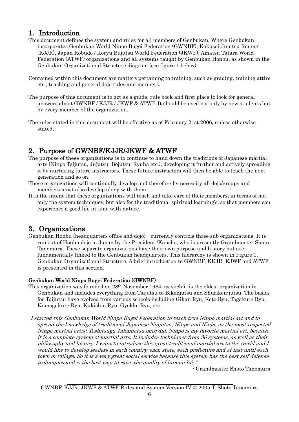- <span id="page-5-0"></span>1. Introduction<br>This document defines the system and rules for all members of Genbukan. Where Genbukan incorporates Genbukan World Ninpo Bugei Federation (GWNBF), Kokusai Jujutsu Renmei (KJJR), Japan Kobudo / Koryu Bujutsu World Federation (JKWF), Amatsu Tatara World Federation (ATWF) organizations and all systems taught by Genbukan Honbu, as shown in the Genbukan Organizational Structure diagram (see figure 1 below).
- Contained within this document are matters pertaining to training, such as grading, training attire etc., teaching and general dojo rules and manners.
- The purpose of this document is to act as a guide, rule book and first place to look for general answers about GWNBF / KJJR / JKWF & ATWF. It should be used not only by new students but by every member of the organization.
- The rules stated in this document will be effective as of February 21st 2006, unless otherwise stated.

- <span id="page-5-1"></span>2. Purpose of GWNBF/KJJR/JKWF & ATWF<br>The purpose of these organizations is to continue to hand down the traditions of Japanese martial arts (Ninpo Taijutsu, Jujutsu, Bojutsu, Ryuha etc.), developing it further and actively spreading it by nurturing future instructors. These future instructors will then be able to teach the next generation and so on.
- These organizations will continually develop and therefore by necessity all dojo/groups and members must also develop along with them.
- It is the intent that these organizations will teach and take care of their members, in terms of not only the system techniques, but also for the traditional spiritual learning's, so that members can experience a good life in tune with nature.

<span id="page-5-2"></span>3. Organizations<br>Genbukan Honbu (headquarters office and dojo) currently controls three sub organizations. It is run out of Honbu dojo in Japan by the President /Kancho, who is presently Grandmaster Shoto Tanemura. These separate organizations have their own purpose and history but are fundamentally linked to the Genbukan headquarters. This hierarchy is shown in Figure 1, Genbukan Organizational Structure. A brief introduction to GWNBF, KKJR, KJWF and ATWF is presented in this section.

### Genbukan World Ninpo Bugei Federation (GWNBF)

- This organization was founded on 28th November 1984; as such it is the oldest organization in Genbukan and includes everything from Taijutsu to Bikenjutsu and Shuriken-jutsu. The basics for Taijutsu have evolved from various schools including Gikan Ryu, Koto Ryu, Togakure Ryu, Kumogakure Ryu, Kukishin Ryu, Gyokko Ryu, etc.
- "I started this Genbukan World Ninpo Bugei Federation to teach true Ninpo martial art and to spread the knowledge of traditional Japanese Ninjutsu, Ninpo and Ninja, as the most respected Ninpo martial artist Toshitsugu Takamatsu once did. Ninpo is my favorite martial art, because it is a complete system of martial arts. It includes techniques from 36 systems, as well as their philosophy and history. I want to introduce this great traditional martial art to the world and I would like to develop leaders in each country, each state, each prefecture and at last until each town or village. So it is a very great social service because this system has the best self-defense techniques and is the best way to raise the quality of human life."

- Grandmaster Shoto Tanemura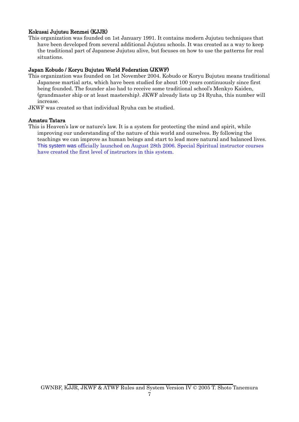### Kokusai Jujutsu Renmei (KJJR)

This organization was founded on 1st January 1991. It contains modern Jujutsu techniques that have been developed from several additional Jujutsu schools. It was created as a way to keep the traditional part of Japanese Jujutsu alive, but focuses on how to use the patterns for real situations.

### Japan Kobudo / Koryu Bujutsu World Federation (JKWF)

- This organization was founded on 1st November 2004. Kobudo or Koryu Bujutsu means traditional Japanese martial arts, which have been studied for about 100 years continuously since first being founded. The founder also had to receive some traditional school's Menkyo Kaiden, (grandmaster ship or at least mastership). JKWF already lists up 24 Ryuha, this number will increase.
- JKWF was created so that individual Ryuha can be studied.

### Amatsu Tatara

This is Heaven's law or nature's law. It is a system for protecting the mind and spirit, while improving our understanding of the nature of this world and ourselves. By following the teachings we can improve as human beings and start to lead more natural and balanced lives. This system was officially launched on August 28th 2006. Special Spiritual instructor courses have created the first level of instructors in this system.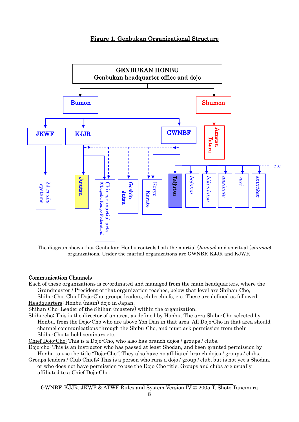### Figure 1, Genbukan Organizational Structure



The diagram shows that Genbukan Honbu controls both the martial (bumon) and spiritual (shumon) organizations. Under the martial organizations are GWNBF, KJJR and KJWF.

### Communication Channels

Each of these organizations is co-ordinated and managed from the main headquarters, where the Grandmaster / President of that organization teaches, below that level are Shihan-Cho, Shibu-Cho, Chief Dojo-Cho, groups leaders, clubs chiefs, etc. These are defined as followed: Headquarters: Honbu (main) dojo in Japan.

Shihan-Cho: Leader of the Shihan (masters) within the organization.

- Shibu-cho: This is the director of an area, as defined by Honbu. The area Shibu-Cho selected by Honbu, from the Dojo-Cho who are above Yon Dan in that area. All Dojo-Cho in that area should channel communications through the Shibu-Cho, and must ask permission from their Shibu-Cho to hold seminars etc.
- Chief Dojo-Cho: This is a Dojo-Cho, who also has branch dojos / groups / clubs.
- Dojo-cho: This is an instructor who has passed at least Shodan, and been granted permission by Honbu to use the title "Dojo-Cho". They also have no affiliated branch dojos / groups / clubs.
- Groups leaders / Club Chiefs: This is a person who runs a dojo / group / club, but is not yet a Shodan, or who does not have permission to use the Dojo-Cho title. Groups and clubs are usually affiliated to a Chief Dojo-Cho.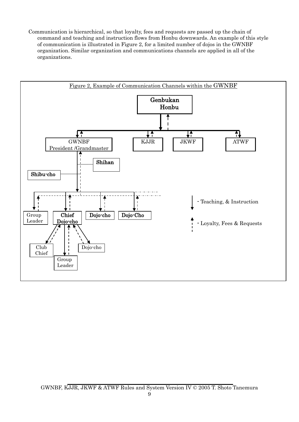Communication is hierarchical, so that loyalty, fees and requests are passed up the chain of command and teaching and instruction flows from Honbu downwards. An example of this style of communication is illustrated in Figure 2, for a limited number of dojos in the GWNBF organization. Similar organization and communications channels are applied in all of the organizations.

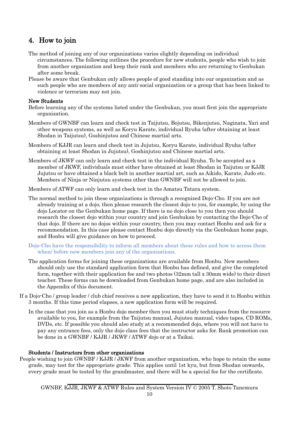## <span id="page-9-0"></span>4. How to join

- The method of joining any of our organizations varies slightly depending on individual circumstances. The following outlines the procedure for new students, people who wish to join from another organization and keep their rank and members who are returning to Genbukan after some break.
- Please be aware that Genbukan only allows people of good standing into our organization and as such people who are members of any anti-social organization or a group that has been linked to violence or terrorism may not join.

### New Students

- Before learning any of the systems listed under the Genbukan, you must first join the appropriate organization.
- Members of GWNBF can learn and check test in Taijutsu, Bojutsu, Bikenjutsu, Naginata, Yari and other weapons systems, as well as Koryu Karate, individual Ryuha (after obtaining at least Shodan in Taijutsu), Goshinjutsu and Chinese martial arts.
- Members of KJJR can learn and check test in Jujutsu, Koryu Karate, individual Ryuha (after obtaining at least Shodan in Jujutsu), Goshinjutsu and Chinese martial arts.
- Members of JKWF can only learn and check test in the individual Ryuha. To be accepted as a member of JKWF, individuals must either have obtained at least Shodan in Taijutsu or KJJR Jujutsu or have obtained a black belt in another martial art, such as Aikido, Karate, Judo etc. Members of Ninja or Ninjutsu systems other than GWNBF will not be allowed to join.

Members of ATWF can only learn and check test in the Amatsu Tatara system.

- The normal method to join these organizations is through a recognized Dojo-Cho. If you are not already training at a dojo, then please research the closest dojo to you, for example, by using the dojo Locator on the Genbukan home page. If there is no dojo close to you then you should research the closest dojo within your country and join Genbukan by contacting the Dojo-Cho of that dojo. If there are no dojos within your country, then you may contact Honbu and ask for a recommendation. In this case please contact Honbu dojo directly via the Genbukan home page, and Honbu will give guidance on how to proceed.
- Dojo-Cho have the responsibility to inform all members about these rules and how to access them when/ before new members join any of the organizations.
- The application forms for joining these organizations are available from Honbu. New members should only use the standard application form that Honbu has defined, and give the completed form, together with their application fee and two photos (32mm tall x 30mm wide) to their direct teacher. These forms can be downloaded from Genbukan home page, and are also included in the Appendix of this document.
- If a Dojo-Cho / group leader / club chief receives a new application, they have to send it to Honbu within 3 months. If this time period elapses, a new application form will be required.
	- In the case that you join as a Honbu dojo member then you must study techniques from the resource available to you, for example from the Taijutsu manual, Jujutsu manual, video tapes, CD ROMs, DVDs, etc. If possible you should also study at a recommended dojo, where you will not have to pay any entrance fees, only the dojo class fees that the instructor asks for. Rank promotion can be done in a GWNBF / KJJR / JKWF / ATWF dojo or at a Taikai.

### Students / Instructors from other organizations

People wishing to join GWNBF / KJJR / JKWF from another organization, who hope to retain the same grade, may test for the appropriate grade. This applies until 1st kyu, but from Shodan onwards, every grade must be tested by the grandmaster, and there will be a special fee for the certificate.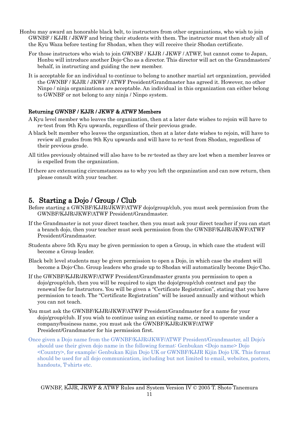- Honbu may award an honorable black belt, to instructors from other organizations, who wish to join GWNBF / KJJR / JKWF and bring their students with them. The instructor must then study all of the Kyu Waza before testing for Shodan, when they will receive their Shodan certificate.
	- For those instructors who wish to join GWNBF / KJJR / JKWF / ATWF, but cannot come to Japan, Honbu will introduce another Dojo-Cho as a director. This director will act on the Grandmasters' behalf, in instructing and guiding the new member.
	- It is acceptable for an individual to continue to belong to another martial art organization, provided the GWNBF / KJJR / JKWF / ATWF President/Grandmaster has agreed it. However, no other Ninpo / ninja organizations are acceptable. An individual in this organization can either belong to GWNBF or not belong to any ninja / Ninpo system.

### Returning GWNBF / KJJR / JKWF & ATWF Members

- A Kyu level member who leaves the organization, then at a later date wishes to rejoin will have to re-test from 9th Kyu upwards, regardless of their previous grade.
- A black belt member who leaves the organization, then at a later date wishes to rejoin, will have to review all grades from 9th Kyu upwards and will have to re-test from Shodan, regardless of their previous grade.
- All titles previously obtained will also have to be re-tested as they are lost when a member leaves or is expelled from the organization.
- If there are extenuating circumstances as to why you left the organization and can now return, then please consult with your teacher.

- <span id="page-10-0"></span>5. Starting a Dojo / Group / Club<br>Before starting a GWNBF/KJJR/JKWF/ATWF dojo/group/club, you must seek permission from the GWNBF/KJJR/JKWF/ATWF President/Grandmaster.
- If the Grandmaster is not your direct teacher, then you must ask your direct teacher if you can start a branch dojo, then your teacher must seek permission from the GWNBF/KJJR/JKWF/ATWF President/Grandmaster.
- Students above 5th Kyu may be given permission to open a Group, in which case the student will become a Group leader.
- Black belt level students may be given permission to open a Dojo, in which case the student will become a Dojo-Cho. Group leaders who grade up to Shodan will automatically become Dojo-Cho.
- If the GWNBF/KJJR/JKWF/ATWF President/Grandmaster grants you permission to open a dojo/group/club, then you will be required to sign the dojo/group/club contract and pay the renewal fee for Instructors. You will be given a "Certificate Registration", stating that you have permission to teach. The "Certificate Registration" will be issued annually and without which you can not teach.
- You must ask the GWNBF/KJJR/JKWF/ATWF President/Grandmaster for a name for your dojo/group/club. If you wish to continue using an existing name, or need to operate under a company/business name, you must ask the GWNBF/KJJR/JKWF/ATWF President/Grandmaster for his permission first.
- Once given a Dojo name from the GWNBF/KJJR/JKWF/ATWF President/Grandmaster, all Dojo's should use their given dojo name in the following format: Genbukan <Dojo name> Dojo <Country>, for example: Genbukan Kijin Dojo UK or GWNBF/KJJR Kijin Dojo UK. This format should be used for all dojo communication, including but not limited to email, websites, posters, handouts, T-shirts etc.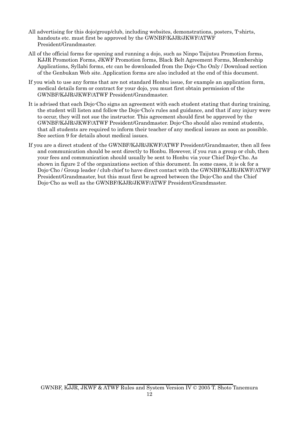- All advertising for this dojo/group/club, including websites, demonstrations, posters, T-shirts, handouts etc. must first be approved by the GWNBF/KJJR/JKWF/ATWF President/Grandmaster.
- All of the official forms for opening and running a dojo, such as Ninpo Taijutsu Promotion forms, KJJR Promotion Forms, JKWF Promotion forms, Black Belt Agreement Forms, Membership Applications, Syllabi forms, etc can be downloaded from the Dojo-Cho Only / Download section of the Genbukan Web site. Application forms are also included at the end of this document.
- If you wish to use any forms that are not standard Honbu issue, for example an application form, medical details form or contract for your dojo, you must first obtain permission of the GWNBF/KJJR/JKWF/ATWF President/Grandmaster.
- It is advised that each Dojo-Cho signs an agreement with each student stating that during training, the student will listen and follow the Dojo-Cho's rules and guidance, and that if any injury were to occur, they will not sue the instructor. This agreement should first be approved by the GWNBF/KJJR/JKWF/ATWF President/Grandmaster. Dojo-Cho should also remind students, that all students are required to inform their teacher of any medical issues as soon as possible. See section 9 for details about medical issues.
- If you are a direct student of the GWNBF/KJJR/JKWF/ATWF President/Grandmaster, then all fees and communication should be sent directly to Honbu. However, if you run a group or club, then your fees and communication should usually be sent to Honbu via your Chief Dojo-Cho. As shown in figure 2 of the organizations section of this document. In some cases, it is ok for a Dojo-Cho / Group leader / club chief to have direct contact with the GWNBF/KJJR/JKWF/ATWF President/Grandmaster, but this must first be agreed between the Dojo-Cho and the Chief Dojo-Cho as well as the GWNBF/KJJR/JKWF/ATWF President/Grandmaster.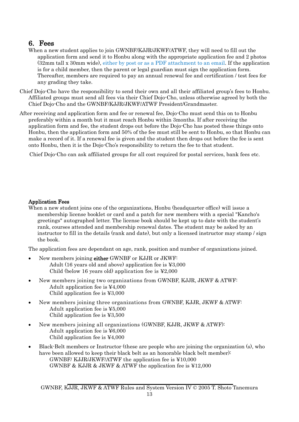- <span id="page-12-0"></span>**6. Fees**<br>When a new student applies to join GWNBF/KJJR/JKWF/ATWF, they will need to fill out the application form and send it to Honbu along with the appropriate application fee and 2 photos (32mm tall x 30mm wide), either by post or as a PDF attachment to an email. If the application is for a child member, then the parent or legal guardian must sign the application form. Thereafter, members are required to pay an annual renewal fee and certification / test fees for any grading they take.
- Chief Dojo-Cho have the responsibility to send their own and all their affiliated group's fees to Honbu. Affiliated groups must send all fees via their Chief Dojo-Cho, unless otherwise agreed by both the Chief Dojo-Cho and the GWNBF/KJJR/JKWF/ATWF President/Grandmaster.
- After receiving and application form and fee or renewal fee, Dojo-Cho must send this on to Honbu preferably within a month but it must reach Honbu within 3months. If after receiving the application form and fee, the student drops out before the Dojo-Cho has posted these things onto Honbu, then the application form and 50% of the fee must still be sent to Honbu, so that Honbu can make a record of it. If a renewal fee is given and the student then drops out before the fee is sent onto Honbu, then it is the Dojo-Cho's responsibility to return the fee to that student.

Chief Dojo-Cho can ask affiliated groups for all cost required for postal services, bank fees etc.

### Application Fees

When a new student joins one of the organizations, Honbu (headquarter office) will issue a membership license booklet or card and a patch for new members with a special "Kancho's greetings" autographed letter. The license book should be kept up to date with the student's rank, courses attended and membership renewal dates. The student may be asked by an instructor to fill in the details (rank and date), but only a licensed instructor may stamp / sign the book.

The application fees are dependant on age, rank, position and number of organizations joined.

- New members joining either GWNBF or KJJR or JKWF: Adult (16 years old and above) application fee is ¥3,000 Child (below 16 years old) application fee is ¥2,000
- New members joining two organizations from GWNBF, KJJR, JKWF & ATWF: Adult application fee is ¥4,000 Child application fee is ¥3,000
- New members joining three organizations from GWNBF, KJJR, JKWF & ATWF: Adult application fee is ¥5,000 Child application fee is ¥3,500
- New members joining all organizations (GWNBF, KJJR, JKWF & ATWF): Adult application fee is ¥6,000 Child application fee is ¥4,000
- Black-Belt members or Instructor (these are people who are joining the organization (s), who have been allowed to keep their black belt as an honorable black belt member): GWNBF/ KJJR/JKWF/ATWF the application fee is ¥10,000 GWNBF & KJJR & JKWF & ATWF the application fee is  $\yen 12,000$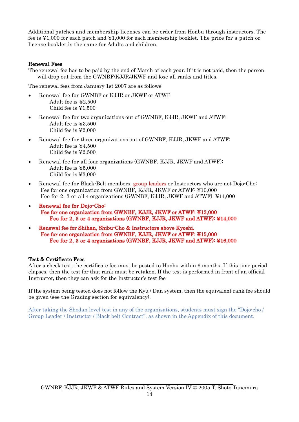Additional patches and membership licenses can be order from Honbu through instructors. The fee is ¥1,000 for each patch and ¥1,000 for each membership booklet. The price for a patch or license booklet is the same for Adults and children.

### Renewal Fees

The renewal fee has to be paid by the end of March of each year. If it is not paid, then the person will drop out from the GWNBF/KJJR/JKWF and lose all ranks and titles.

The renewal fees from January 1st 2007 are as follows:

- Renewal fee for GWNBF or KJJR or JKWF or ATWF: Adult fee is ¥2,500 Child fee is ¥1,500
- Renewal fee for two organizations out of GWNBF, KJJR, JKWF and ATWF: Adult fee is ¥3,500 Child fee is ¥2,000
- Renewal fee for three organizations out of GWNBF, KJJR, JKWF and ATWF: Adult fee is ¥4,500 Child fee is ¥2,500
- Renewal fee for all four organizations (GWNBF, KJJR, JKWF and ATWF): Adult fee is ¥5,000 Child fee is ¥3,000
- Renewal fee for Black-Belt members, group leaders or Instructors who are not Dojo-Cho-Fee for one organization from GWNBF, KJJR, JKWF or ATWF: ¥10,000 Fee for 2, 3 or all 4 organizations (GWNBF, KJJR, JKWF and ATWF): ¥11,000
- Renewal fee for Dojo-Cho: Fee for one organization from GWNBF, KJJR, JKWF or ATWF: ¥13,000 Fee for 2, 3 or 4 organizations (GWNBF, KJJR, JKWF and ATWF): ¥14,000
- Renewal fee for Shihan, Shibu-Cho & Instructors above Kyoshi. Fee for one organization from GWNBF, KJJR, JKWF or ATWF: ¥15,000 Fee for 2, 3 or 4 organizations (GWNBF, KJJR, JKWF and ATWF): ¥16,000

### Test & Certificate Fees

After a check test, the certificate fee must be posted to Honbu within 6 months. If this time period elapses, then the test for that rank must be retaken. If the test is performed in front of an official Instructor, then they can ask for the Instructor's test fee

If the system being tested does not follow the Kyu / Dan system, then the equivalent rank fee should be given (see the Grading section for equivalency).

After taking the Shodan level test in any of the organisations, students must sign the "Dojo-cho / Group Leader / Instructor / Black belt Contract", as shown in the Appendix of this document.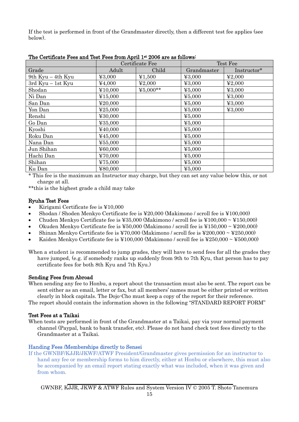If the test is performed in front of the Grandmaster directly, then a different test fee applies (see below).

|                       | Certificate Fee |          | Test Fee                                           |                                     |
|-----------------------|-----------------|----------|----------------------------------------------------|-------------------------------------|
| Grade                 | Adult           | Child    | Grandmaster                                        | Instructor*                         |
| 9th $Kyu - 4th Kyu$   | 43,000          | ¥1,500   | ¥3,000                                             | $\textcolor{blue}{\textbf{42.000}}$ |
| $3rd$ Kyu $-$ 1st Kyu | ¥4,000          | ¥2,000   | ¥3,000                                             | $\textcolor{blue}{\textbf{42.000}}$ |
| Shodan                | ¥10,000         | ¥5,000** | 45,000                                             | 43,000                              |
| Ni Dan                | ¥15,000         |          | 45,000                                             | 43,000                              |
| San Dan               | ¥20,000         |          | 45,000                                             | 43,000                              |
| Yon Dan               | ¥25,000         |          | $\Psi$ 5,000                                       | ¥3,000                              |
| Renshi                | ¥30,000         |          | 45,000                                             |                                     |
| Go Dan                | ¥35,000         |          | 45,000                                             |                                     |
| Kyoshi                | ¥40,000         |          | 45,000                                             |                                     |
| Roku Dan              | ¥45,000         |          | 45,000                                             |                                     |
| Nana Dan              | ¥55,000         |          | 45,000                                             |                                     |
| Jun Shihan            | ¥60,000         |          | 45,000                                             |                                     |
| Hachi Dan             | ¥70,000         |          | $\Psi$ 5,000                                       |                                     |
| Shihan                | ¥75,000         |          | $\textcolor{blue}{\boldsymbol{\mathfrak{2}}5.000}$ |                                     |
| Ku Dan                | ¥80,000         |          | 45,000                                             |                                     |

The Certificate Fees and Test Fees from April 1st 2006 are as follows:

\* This fee is the maximum an Instructor may charge, but they can set any value below this, or not charge at all.

\*\*this is the highest grade a child may take

### Ryuha Test Fees

- Kirigami Certificate fee is ¥10,000
- Shodan / Shoden Menkyo Certificate fee is ¥20,000 (Makimono / scroll fee is ¥100,000)
- Chuden Menkyo Certificate fee is ¥35,000 (Makimono / scroll fee is ¥100,000 ~ ¥150,000)
- Okuden Menkyo Certificate fee is  $\text{\textsterling}50,000$  (Makimono / scroll fee is  $\text{\textsterling}150,000 \sim \text{\textsterling}200,000$ )
- Shinan Menkyo Certificate fee is ¥70,000 (Makimono / scroll fee is ¥200,000 ~ ¥250,000)
- Kaiden Menkyo Certificate fee is ¥100,000 (Makimono / scroll fee is ¥250,000 ~ ¥500,000)

When a student is recommended to jump grades, they will have to send fees for all the grades they have jumped, (e.g. if somebody ranks up suddenly from 9th to 7th Kyu, that person has to pay certificate fees for both 8th Kyu and 7th Kyu.)

### Sending Fees from Abroad

When sending any fee to Honbu, a report about the transaction must also be sent. The report can be sent either as an email, letter or fax, but all members' names must be either printed or written clearly in block capitals. The Dojo-Cho must keep a copy of the report for their reference.

The report should contain the information shown in the following "STANDARD REPORT FORM"

### Test Fees at a Taikai

When tests are performed in front of the Grandmaster at a Taikai, pay via your normal payment channel (Paypal, bank to bank transfer, etc). Please do not hand check test fees directly to the Grandmaster at a Taikai.

### Handing Fees /Memberships directly to Sensei

If the GWNBF/KJJR/JKWF/ATWF President/Grandmaster gives permission for an instructor to hand any fee or membership forms to him directly, either at Honbu or elsewhere, this must also be accompanied by an email report stating exactly what was included, when it was given and from whom.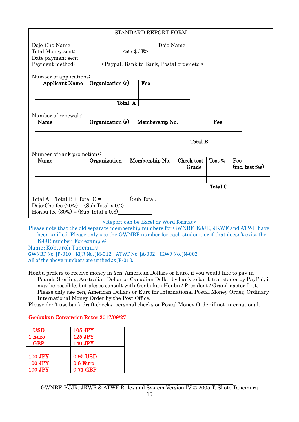|                                                                                                             |                  |  | STANDARD REPORT FORM                                            |            |         |                 |
|-------------------------------------------------------------------------------------------------------------|------------------|--|-----------------------------------------------------------------|------------|---------|-----------------|
|                                                                                                             |                  |  |                                                                 |            |         |                 |
|                                                                                                             |                  |  |                                                                 |            |         |                 |
|                                                                                                             |                  |  |                                                                 |            |         |                 |
| Date payment sent:<br>Payment method: <paypal, bank="" bank,="" etc.="" order="" postal="" to=""></paypal,> |                  |  |                                                                 |            |         |                 |
|                                                                                                             |                  |  |                                                                 |            |         |                 |
| Number of applications:                                                                                     |                  |  |                                                                 |            |         |                 |
| <b>Applicant Name</b>                                                                                       | Organization (s) |  | Fee                                                             |            |         |                 |
|                                                                                                             |                  |  |                                                                 |            |         |                 |
|                                                                                                             |                  |  |                                                                 |            |         |                 |
|                                                                                                             | Total A          |  |                                                                 |            |         |                 |
|                                                                                                             |                  |  |                                                                 |            |         |                 |
| Number of renewals:                                                                                         |                  |  |                                                                 |            |         |                 |
| Name                                                                                                        | Organization (s) |  | Membership No.                                                  |            | Fee     |                 |
|                                                                                                             |                  |  |                                                                 |            |         |                 |
|                                                                                                             |                  |  |                                                                 | Total B    |         |                 |
|                                                                                                             |                  |  |                                                                 |            |         |                 |
| Number of rank promotions:                                                                                  |                  |  |                                                                 |            |         |                 |
| Name                                                                                                        | Organization     |  | Membership No.                                                  | Check test | Test %  | Fee             |
|                                                                                                             |                  |  |                                                                 | Grade      |         | (inc. test fee) |
|                                                                                                             |                  |  |                                                                 |            |         |                 |
|                                                                                                             |                  |  |                                                                 |            |         |                 |
|                                                                                                             |                  |  |                                                                 |            | Total C |                 |
|                                                                                                             |                  |  |                                                                 |            |         |                 |
| Total $A$ + Total $B$ + Total $C =$ (Sub Total)                                                             |                  |  |                                                                 |            |         |                 |
| Dojo-Cho fee $(20%) = (Sub Total x 0.2)$                                                                    |                  |  |                                                                 |            |         |                 |
|                                                                                                             |                  |  |                                                                 |            |         |                 |
| Honbu fee $(80\%) = (Sub Total x 0.8)$                                                                      |                  |  |                                                                 |            |         |                 |
|                                                                                                             |                  |  | <report be="" can="" excel="" format="" or="" word=""></report> |            |         |                 |

been unified. Please only use the GWNBF number for each student, or if that doesn't exist the KJJR number. For example:

Name: Kohtaroh Tanemura

GWNBF No. JP-010 KJJR No. JM-012 ATWF No. JA-002 JKWF No. JN-002 All of the above numbers are unified as JP-010.

Honbu prefers to receive money in Yen, American Dollars or Euro, if you would like to pay in Pounds Sterling, Australian Dollar or Canadian Dollar by bank to bank transfer or by PayPal, it may be possible, but please consult with Genbukan Honbu / President / Grandmaster first. Please only use Yen, American Dollars or Euro for International Postal Money Order, Ordinary International Money Order by the Post Office.

Please don't use bank draft checks, personal checks or Postal Money Order if not international.

## Genbukan Conversion Rates 2017/09/27:

| 1 USD   | 105 JPY        |
|---------|----------------|
| 1 Euro  | 125 JPY        |
| 1 GBP   | <b>140 JPY</b> |
|         |                |
| 100 JPY | 0.95 USD       |
| 100 JPY | 0.8 Euro       |
| 100 JPY | 0.71 GBP       |
|         |                |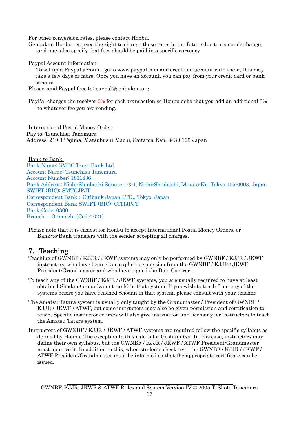For other conversion rates, please contact Honbu.

Genbukan Honbu reserves the right to change these rates in the future due to economic change, and may also specify that fees should be paid in a specific currency.

Paypal Account information:

 To set up a Paypal account, go to [www.paypal.com](http://www.paypal.com/) and create an account with them, this may take a few days or more. Once you have an account, you can pay from your credit card or bank account.

Please send Paypal fees to: [paypal@genbukan.org](mailto:paypal@genbukan.org)

PayPal charges the receiver  $3\%$  for each transaction so Honbu asks that you add an additional 3% to whatever fee you are sending.

International Postal Money Order: Pay to: Tsunehisa Tanemura Address: 219-1 Tajima, Matsubushi-Machi, Saitama-Ken, 343-0105 Japan

Bank to Bank: Bank Name: SMBC Trust Bank Ltd. Account Name: Tsunehisa Tanemura Account Number: 1811436 Bank Address: Nishi-Shinbashi Square 1-3-1, Nishi-Shinbashi, Minato-Ku, Tokyo 105-0003, Japan SWIFT (BIC): SMTCJPJT Correspondent Bank:Citibank Japan LTD., Tokyo, Japan Correspondent Bank SWIFT (BIC): CITIJPJT Bank Code: 0300 Branch: Otemachi (Code; 021)

Please note that it is easiest for Honbu to accept International Postal Money Orders, or Bank-to-Bank transfers with the sender accepting all charges.

- <span id="page-16-0"></span>7. Teaching Teaching Teaching Teaching of GWNBF / KJJR / JKWF  $T_{\text{e}}$  Teaching of GWNBF / KJJR / JKWF instructors, who have been given explicit permission from the GWNBF / KJJR / JKWF President/Grandmaster and who have signed the Dojo Contract.
- To teach any of the GWNBF / KJJR / JKWF systems, you are usually required to have at least obtained Shodan (or equivalent rank) in that system. If you wish to teach from any of the systems before you have reached Shodan in that system, please consult with your teacher.
- The Amatsu Tatara system is usually only taught by the Grandmaster / President of GWNBF / KJJR / JKWF / ATWF, but some instructors may also be given permission and certification to teach. Specific instructor courses will also give instruction and licensing for instructors to teach the Amatsu Tatara system.
- Instructors of GWNBF / KJJR / JKWF / ATWF systems are required follow the specific syllabus as defined by Honbu. The exception to this rule is for Goshinjutsu. In this case, instructors may define their own syllabus, but the GWNBF / KJJR / JKWF / ATWF President/Grandmaster must approve it. In addition to this, when students check test, the GWNBF / KJJR / JKWF / ATWF President/Grandmaster must be informed so that the appropriate certificate can be issued.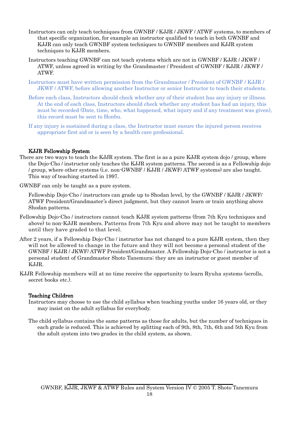- Instructors can only teach techniques from GWNBF / KJJR / JKWF / ATWF systems, to members of that specific organization, for example an instructor qualified to teach in both GWNBF and KJJR can only teach GWNBF system techniques to GWNBF members and KJJR system techniques to KJJR members.
- Instructors teaching GWNBF can not teach systems which are not in GWNBF / KJJR / JKWF / ATWF, unless agreed in writing by the Grandmaster / President of GWNBF / KJJR / JKWF / ATWF.
- Instructors must have written permission from the Grandmaster / President of GWNBF / KJJR / JKWF / ATWF, before allowing another Instructor or senior Instructor to teach their students.
- Before each class, Instructors should check whether any of their student has any injury or illness. At the end of each class, Instructors should check whether any student has had an injury, this must be recorded (Date, time, who, what happened, what injury and if any treatment was given), this record must be sent to Honbu.
- If any injury is sustained during a class, the Instructor must ensure the injured person receives appropriate first aid or is seen by a health care professional.

### KJJR Fellowship System

There are two ways to teach the KJJR system. The first is as a pure KJJR system dojo / group, where the Dojo-Cho / instructor only teaches the KJJR system patterns. The second is as a Fellowship dojo / group, where other systems (i.e. non-GWNBF / KJJR / JKWF/ ATWF systems) are also taught. This way of teaching started in 1997.

GWNBF can only be taught as a pure system.

Fellowship Dojo-Cho / instructors can grade up to Shodan level, by the GWNBF / KJJR / JKWF/ ATWF President/Grandmaster's direct judgment, but they cannot learn or train anything above Shodan patterns.

- Fellowship Dojo-Cho / instructors cannot teach KJJR system patterns (from 7th Kyu techniques and above) to non-KJJR members. Patterns from 7th Kyu and above may not be taught to members until they have graded to that level.
- After 2 years, if a Fellowship Dojo-Cho / instructor has not changed to a pure KJJR system, then they will not be allowed to change in the future and they will not become a personal student of the GWNBF / KJJR / JKWF/ ATWF President/Grandmaster. A Fellowship Dojo-Cho / instructor is not a personal student of Grandmaster Shoto Tanemura; they are an instructor or guest member of KJJR.
- KJJR Fellowship members will at no time receive the opportunity to learn Ryuha systems (scrolls, secret books etc.).

### Teaching Children

- Instructors may choose to use the child syllabus when teaching youths under 16 years old, or they may insist on the adult syllabus for everybody.
- The child syllabus contains the same patterns as those for adults, but the number of techniques in each grade is reduced. This is achieved by splitting each of 9th, 8th, 7th, 6th and 5th Kyu from the adult system into two grades in the child system, as shown.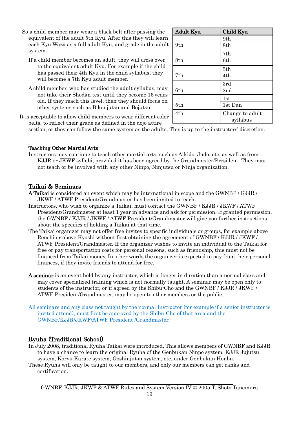- So a child member may wear a black belt after passing the equivalent of the adult 5th Kyu. After this they will learn each Kyu Waza as a full adult Kyu, and grade in the adult system.
	- If a child member becomes an adult, they will cross over to the equivalent adult Kyu. For example if the child has passed their 4th Kyu in the child syllabus, they will become a 7th Kyu adult member.
	- A child member, who has studied the adult syllabus, may not take their Shodan test until they become 16 years old. If they reach this level, then they should focus on other systems such as Bikenjutsu and Bojutsu.

| <b>Adult Kyu</b> | Child Kyu                   |
|------------------|-----------------------------|
|                  | 9th                         |
| 9th              | 8th                         |
|                  | 7th                         |
| 8th              | 6th                         |
|                  | 5th                         |
| 7th              | 4th                         |
|                  | 3rd                         |
| 6th              | 2nd                         |
|                  | 1st                         |
| 5th              | 1st Dan                     |
| 4th              | Change to adult<br>syllabus |

It is acceptable to allow child members to wear different color belts, to reflect their grade as defined in the dojo attire

section, or they can follow the same system as the adults. This is up to the instructors' discretion.

### Teaching Other Martial Arts

Instructors may continue to teach other martial arts, such as Aikido, Judo, etc. as well as from KJJR or JKWF syllabi, provided it has been agreed by the Grandmaster/President. They may not teach or be involved with any other Ninpo, Ninjutsu or Ninja organization.

### <span id="page-18-0"></span>Taikai & Seminars

- A Taikai is considered an event which may be international in scope and the GWNBF / KJJR / JKWF / ATWF President/Grandmaster has been invited to teach.
- Instructors, who wish to organize a Taikai, must contact the GWNBF / KJJR / JKWF / ATWF President/Grandmaster at least 1 year in advance and ask for permission. If granted permission, the GWNBF / KJJR / JKWF / ATWF President/Grandmaster will give you further instructions about the specifics of holding a Taikai at that time.
- The Taikai organizer may not offer free invites to specific individuals or groups, for example above Renshi or above Kyoshi without first obtaining the agreement of GWNBF / KJJR / JKWF / ATWF President/Grandmaster. If the organizer wishes to invite an individual to the Taikai for free or pay transportation costs for personal reasons, such as friendship, this must not be financed from Taikai money. In other words the organizer is expected to pay from their personal finances, if they invite friends to attend for free.
- A seminar is an event held by any instructor, which is longer in duration than a normal class and may cover specialized training which is not normally taught. A seminar may be open only to students of the instructor, or if agreed by the Shibu-Cho and the GWNBF / KJJR / JKWF / ATWF President/Grandmaster, may be open to other members or the public.
- All seminars and any class not taught by the normal Instructor (for example if a senior instructor is invited attend), must first be approved by the Shibu-Cho of that area and the GWNBF/KJJR/JKWF/ATWF President /Grandmaster.

### <span id="page-18-1"></span>Ryuha (Traditional School)

- In July 2008, traditional Ryuha Taikai were introduced. This allows members of GWNBF and KJJR to have a chance to learn the original Ryuha of the Genbukan Ninpo system, KJJR Jujutsu system, Koryu Karate system, Goshinjutsu system, etc. under Genbukan Honbu.
- These Ryuha will only be taught to our members, and only our members can get ranks and certification.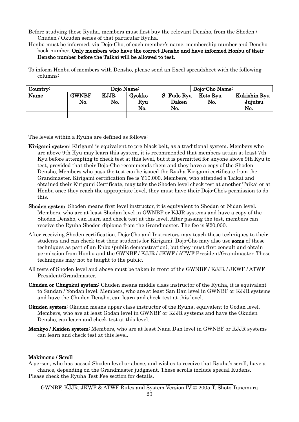Before studying these Ryuha, members must first buy the relevant Densho, from the Shoden / Chuden / Okuden series of that particular Ryuha.

Honbu must be informed, via Dojo-Cho, of each member's name, membership number and Densho book number. Only members who have the correct Densho and have informed Honbu of their Densho number before the Taikai will be allowed to test.

To inform Honbu of members with Densho, please send an Excel spreadsheet with the following columns:

| Country: | Dojo Name:          |                    |                      |                             | Dojo-Cho Name:  |                                |
|----------|---------------------|--------------------|----------------------|-----------------------------|-----------------|--------------------------------|
| Name     | <b>GWNBF</b><br>No. | <b>KJJR</b><br>No. | Gyokko<br>Ryu<br>No. | S. Fudo Ryu<br>Daken<br>No. | Koto Ryu<br>No. | Kukishin Ryu<br>Jujutsu<br>No. |
|          |                     |                    |                      |                             |                 |                                |

The levels within a Ryuha are defined as follows:

- Kirigami system: Kirigami is equivalent to pre-black belt, as a traditional system. Members who are above 9th Kyu may learn this system, it is recommended that members attain at least 7th Kyu before attempting to check test at this level, but it is permitted for anyone above 9th Kyu to test, provided that their Dojo-Cho recommends them and they have a copy of the Shoden Densho, Members who pass the test can be issued the Ryuha Kirigami certificate from the Grandmaster. Kirigami certification fee is ¥10,000. Members, who attended a Taikai and obtained their Kirigami Certificate, may take the Shoden level check test at another Taikai or at Honbu once they reach the appropriate level, they must have their Dojo-Cho's permission to do this.
- Shoden system: Shoden means first level instructor, it is equivalent to Shodan or Nidan level. Members, who are at least Shodan level in GWNBF or KJJR systems and have a copy of the Shoden Densho, can learn and check test at this level. After passing the test, members can receive the Ryuha Shoden diploma from the Grandmaster. The fee is ¥20,000.
- After receiving Shoden certification, Dojo-Cho and Instructors may teach these techniques to their students and can check test their students for Kirigami. Dojo-Cho may also use some of these techniques as part of an Enbu (public demonstration), but they must first consult and obtain permission from Honbu and the GWNBF / KJJR / JKWF / ATWF President/Grandmaster. These techniques may not be taught to the public.
- All tests of Shoden level and above must be taken in front of the GWNBF / KJJR / JKWF / ATWF President/Grandmaster.
- Chuden or Chugokui system: Chuden means middle class instructor of the Ryuha, it is equivalent to Sandan / Yondan level. Members, who are at least San Dan level in GWNBF or KJJR systems and have the Chuden Densho, can learn and check test at this level.
- Okuden system: Okuden means upper class instructor of the Ryuha, equivalent to Godan level. Members, who are at least Godan level in GWNBF or KJJR systems and have the Okuden Densho, can learn and check test at this level.
- Menkyo / Kaiden system: Members, who are at least Nana Dan level in GWNBF or KJJR systems can learn and check test at this level.

### Makimono / Scroll

A person, who has passed Shoden level or above, and wishes to receive that Ryuha's scroll, have a chance, depending on the Grandmaster judgment. These scrolls include special Kudens. Please check the Ryuha Test Fee section for details.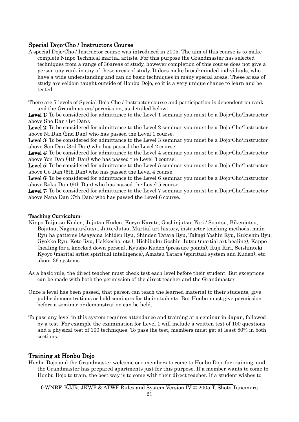### <span id="page-20-0"></span>Special Dojo-Cho / Instructors Course

A special Dojo-Cho / Instructor course was introduced in 2005. The aim of this course is to make complete Ninpo Technical martial artists. For this purpose the Grandmaster has selected techniques from a range of 36areas of study, however completion of this course does not give a person any rank in any of these areas of study. It does make broad-minded individuals, who have a wide understanding and can do basic techniques in many special areas. These areas of study are seldom taught outside of Honbu Dojo, so it is a very unique chance to learn and be tested.

There are 7 levels of Special Dojo-Cho / Instructor course and participation is dependent on rank and the Grandmasters' permission, as detailed below:

Level 1: To be considered for admittance to the Level 1 seminar you must be a Dojo-Cho/Instructor above Sho Dan (1st Dan).

Level 2: To be considered for admittance to the Level 2 seminar you must be a Dojo-Cho/Instructor above Ni Dan (2nd Dan) who has passed the Level 1 course.

Level 3: To be considered for admittance to the Level 3 seminar you must be a Dojo-Cho/Instructor above San Dan (3rd Dan) who has passed the Level 2 course.

Level 4: To be considered for admittance to the Level 4 seminar you must be a Dojo-Cho/Instructor above Yon Dan (4th Dan) who has passed the Level 3 course.

Level 5: To be considered for admittance to the Level 5 seminar you must be a Dojo-Cho/Instructor above Go Dan (5th Dan) who has passed the Level 4 course.

Level 6: To be considered for admittance to the Level 6 seminar you must be a Dojo-Cho/Instructor above Roku Dan (6th Dan) who has passed the Level 5 course.

Level 7: To be considered for admittance to the Level 7 seminar you must be a Dojo-Cho/Instructor above Nana Dan (7th Dan) who has passed the Level 6 course.

### Teaching Curriculum:

- Ninpo Taijutsu Kuden, Jujutsu Kuden, Koryu Karate, Goshinjutsu, Yari / Sojutsu, Bikenjutsu, Bojutsu, Naginata-Jutsu, Jutte-Jutsu, Martial art history, instructor teaching methods, main Ryu-ha patterns (Asayama Ichiden Ryu, Shinden Tatara Ryu, Takagi Yoshin Ryu, Kukishin Ryu, Gyokko Ryu, Koto Ryu, Hakkesho, etc.), Hichibuku Goshin-Jutsu (martial art healing), Kappo (healing for a knocked down person), Kyusho Kuden (pressure points), Kuji Kiri, Seishinteki Kyoyo (marital artist spiritual intelligence), Amatsu Tatara (spiritual system and Kuden), etc. about 36 systems.
- As a basic rule, the direct teacher must check test each level before their student. But exceptions can be made with both the permission of the direct teacher and the Grandmaster.
- Once a level has been passed, that person can teach the learned material to their students, give public demonstrations or hold seminars for their students. But Honbu must give permission before a seminar or demonstration can be held.
- To pass any level in this system requires attendance and training at a seminar in Japan, followed by a test. For example the examination for Level 1 will include a written test of 100 questions and a physical test of 100 techniques. To pass the test, members must get at least 80% in both sections.

### <span id="page-20-1"></span>Training at Honbu Dojo

Honbu Dojo and the Grandmaster welcome our members to come to Honbu Dojo for training, and the Grandmaster has prepared apartments just for this purpose. If a member wants to come to Honbu Dojo to train, the best way is to come with their direct teacher. If a student wishes to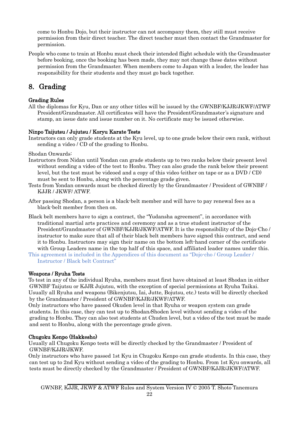come to Honbu Dojo, but their instructor can not accompany them, they still must receive permission from their direct teacher. The direct teacher must then contact the Grandmaster for permission.

People who come to train at Honbu must check their intended flight schedule with the Grandmaster before booking, once the booking has been made, they may not change these dates without permission from the Grandmaster. When members come to Japan with a leader, the leader has responsibility for their students and they must go back together.

## <span id="page-21-0"></span>8. Grading

### Grading Rules

All the diplomas for Kyu, Dan or any other titles will be issued by the GWNBF/KJJR/JKWF/ATWF President/Grandmaster. All certificates will have the President/Grandmaster's signature and stamp, an issue date and issue number on it. No certificate may be issued otherwise.

### Ninpo Taijutsu / Jujutsu / Koryu Karate Tests

Instructors can only grade students at the Kyu level, up to one grade below their own rank, without sending a video / CD of the grading to Honbu.

Shodan Onwards:

- Instructors from Nidan until Yondan can grade students up to two ranks below their present level without sending a video of the test to Honbu. They can also grade the rank below their present level, but the test must be videoed and a copy of this video (either on tape or as a DVD / CD) must be sent to Honbu, along with the percentage grade given.
- Tests from Yondan onwards must be checked directly by the Grandmaster / President of GWNBF / KJJR / JKWF/ ATWF.
- After passing Shodan, a person is a black-belt member and will have to pay renewal fees as a black-belt member from then on.
- Black belt members have to sign a contract, the "Yudansha agreement", in accordance with traditional martial arts practices and ceremony and as a true student instructor of the President/Grandmaster of GWNBF/KJJR/JKWF/ATWF. It is the responsibility of the Dojo-Cho / instructor to make sure that all of their black belt members have signed this contract, and send it to Honbu. Instructors may sign their name on the bottom left-hand corner of the certificate with Group Leaders name in the top half of this space, and affiliated leader names under this.
- This agreement is included in the Appendices of this document as "Dojo-cho / Group Leader / Instructor / Black belt Contract"

### Weapons / Ryuha Tests

To test in any of the individual Ryuha, members must first have obtained at least Shodan in either GWNBF Taijutsu or KJJR Jujutsu, with the exception of special permissions at Ryuha Taikai. Usually all Ryuha and weapons (Bikenjutsu, Iai, Jutte, Bojutsu, etc.) tests will be directly checked by the Grandmaster / President of GWNBF/KJJR/JKWF/ATWF.

Only instructors who have passed Okuden level in that Ryuha or weapon system can grade students. In this case, they can test up to Shodan/Shoden level without sending a video of the grading to Honbu. They can also test students at Chuden level, but a video of the test must be made and sent to Honbu, along with the percentage grade given.

### Chugoku Kenpo (Hakkesho)

Usually all Chugoku Kenpo tests will be directly checked by the Grandmaster / President of GWNBF/KJJR/JKWF.

Only instructors who have passed 1st Kyu in Chugoku Kenpo can grade students. In this case, they can test up to 2nd Kyu without sending a video of the grading to Honbu. From 1st Kyu onwards, all tests must be directly checked by the Grandmaster / President of GWNBF/KJJR/JKWF/ATWF.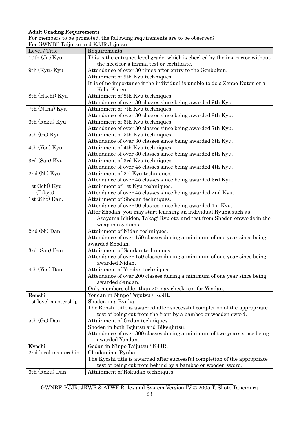### Adult Grading Requirements

For members to be promoted, the following requirements are to be observed; For GWNBF Taijutsu and KJJR Jujutsu

| Level / Title           | Requirements                                                                                |
|-------------------------|---------------------------------------------------------------------------------------------|
| 10th $(\text{Ju})$ Kyu: | This is the entrance level grade, which is checked by the instructor without                |
|                         | the need for a formal test or certificate.                                                  |
| 9th $(Kyu/Kyu$ :        | Attendance of over 30 times after entry to the Genbukan.                                    |
|                         | Attainment of 9th Kyu techniques.                                                           |
|                         | It is of no importance if the individual is unable to do a Zenpo Kuten or a                 |
|                         | Koho Kuten.                                                                                 |
| 8th (Hachi) Kyu         | Attainment of 8th Kyu techniques.                                                           |
|                         | Attendance of over 30 classes since being awarded 9th Kyu.                                  |
| 7th (Nana) Kyu          | Attainment of 7th Kyu techniques.                                                           |
|                         | Attendance of over 30 classes since being awarded 8th Kyu.                                  |
| 6th (Roku) Kyu          | Attainment of 6th Kyu techniques.                                                           |
|                         | Attendance of over 30 classes since being awarded 7th Kyu.                                  |
| 5th (Go) Kyu            | Attainment of 5th Kyu techniques.                                                           |
|                         | Attendance of over 30 classes since being awarded 6th Kyu.                                  |
| 4th (Yon) Kyu           | Attainment of 4th Kyu techniques.                                                           |
|                         | Attendance of over 30 classes since being awarded 5th Kyu.                                  |
| 3rd (San) Kyu           | Attainment of 3rd Kyu techniques.                                                           |
|                         | Attendance of over 45 classes since being awarded 4th Kyu.                                  |
| 2nd (Ni) Kyu            | Attainment of 2 <sup>nd</sup> Kyu techniques.                                               |
|                         | Attendance of over 45 classes since being awarded 3rd Kyu.                                  |
| 1st (Ichi) Kyu          | Attainment of 1st Kyu techniques.                                                           |
| (Ikkyu)                 | Attendance of over 45 classes since being awarded 2nd Kyu.                                  |
| 1st (Sho) Dan.          | Attainment of Shodan techniques.                                                            |
|                         | Attendance of over 90 classes since being awarded 1st Kyu.                                  |
|                         | After Shodan, you may start learning an individual Ryuha such as                            |
|                         | Asayama Ichiden, Takagi Ryu etc. and test from Shoden onwards in the                        |
|                         | weapons systems.                                                                            |
| 2nd (Ni) Dan            | Attainment of Nidan techniques.                                                             |
|                         | Attendance of over 150 classes during a minimum of one year since being                     |
|                         | awarded Shodan.                                                                             |
| 3rd (San) Dan           | Attainment of Sandan techniques.                                                            |
|                         | Attendance of over 150 classes during a minimum of one year since being                     |
|                         | awarded Nidan.                                                                              |
| 4th (Yon) Dan           | Attainment of Yondan techniques.                                                            |
|                         | Attendance of over 200 classes during a minimum of one year since being                     |
|                         | awarded Sandan.                                                                             |
|                         | Only members older than 20 may check test for Yondan.                                       |
| Renshi                  | Yondan in Ninpo Taijutsu / KJJR.                                                            |
| 1st level mastership    | Shoden in a Ryuha.                                                                          |
|                         | The Renshi title is awarded after successful completion of the appropriate                  |
|                         | test of being cut from the front by a bamboo or wooden sword.                               |
| 5th (Go) Dan            | Attainment of Godan techniques.                                                             |
|                         |                                                                                             |
|                         | Shoden in both Bojutsu and Bikenjutsu.                                                      |
|                         | Attendance of over 300 classes during a minimum of two years since being<br>awarded Yondan. |
|                         |                                                                                             |
| Kyoshi                  | Godan in Ninpo Taijutsu / KJJR.                                                             |
| 2nd level mastership    | Chuden in a Ryuha.                                                                          |
|                         | The Kyoshi title is awarded after successful completion of the appropriate                  |
|                         | test of being cut from behind by a bamboo or wooden sword.                                  |
| 6th (Roku) Dan          | Attainment of Rokudan techniques.                                                           |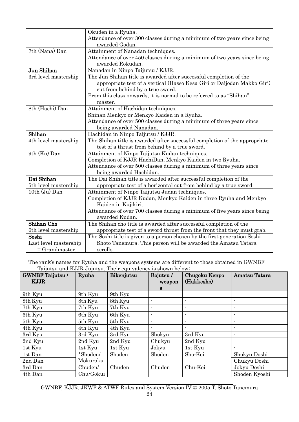|                       | Okuden in a Ryuha.                                                         |
|-----------------------|----------------------------------------------------------------------------|
|                       | Attendance of over 300 classes during a minimum of two years since being   |
|                       | awarded Godan.                                                             |
| 7th (Nana) Dan        | Attainment of Nanadan techniques.                                          |
|                       | Attendance of over 450 classes during a minimum of two years since being   |
|                       | awarded Rokudan.                                                           |
| Jun Shihan            | Nanadan in Ninpo Taijutsu / KJJR.                                          |
| 3rd level mastership  | The Jun Shihan title is awarded after successful completion of the         |
|                       | appropriate test of a vertical (Hasso Kesa-Giri or Daijodan Makko-Giri)    |
|                       | cut from behind by a true sword.                                           |
|                       | From this class onwards, it is normal to be referred to as "Shihan" –      |
|                       | master.                                                                    |
| 8th (Hachi) Dan       | Attainment of Hachidan techniques.                                         |
|                       | Shinan Menkyo or Menkyo Kaiden in a Ryuha.                                 |
|                       | Attendance of over 500 classes during a minimum of three years since       |
|                       | being awarded Nanadan.                                                     |
| Shihan                | Hachidan in Ninpo Taijutsu / KJJR.                                         |
| 4th level mastership  | The Shihan title is awarded after successful completion of the appropriate |
|                       | test of a thrust from behind by a true sword.                              |
| 9th (Ku) Dan          | Attainment of Ninpo Taijutsu Kudan techniques.                             |
|                       | Completion of KJJR HachiDan, Menkyo Kaiden in two Ryuha.                   |
|                       | Attendance of over 500 classes during a minimum of three years since       |
|                       | being awarded Hachidan.                                                    |
| Dai Shihan            | The Dai Shihan title is awarded after successful completion of the         |
| 5th level mastership  | appropriate test of a horizontal cut from behind by a true sword.          |
| 10th (Ju) Dan         | Attainment of Ninpo Taijutsu Judan techniques.                             |
|                       | Completion of KJJR Kudan, Menkyo Kaiden in three Ryuha and Menkyo          |
|                       | Kaiden in Kujikiri.                                                        |
|                       | Attendance of over 700 classes during a minimum of five years since being  |
|                       | awarded Kudan.                                                             |
| Shihan Cho            | The Shihan cho title is awarded after successful completion of the         |
| 6th level mastership  | appropriate test of a sword thrust from the front that they must grab.     |
| Soshi                 | The Soshi title is given to a person chosen by the first generation Soshi  |
| Last level mastership | Shoto Tanemura. This person will be awarded the Amatsu Tatara              |
| $=$ Grandmaster.      | scrolls.                                                                   |

The rank's names for Ryuha and the weapons systems are different to those obtained in GWNBF Taijutsu and KJJR Jujutsu. Their equivalency is shown below:

| <b>GWNBF</b> Taijutsu /<br>KJJR | Ryuha     | Bikenjutsu | Bojutsu/<br>weapon | Chugoku Kenpo<br>(Hakkesho) | Amatsu Tatara            |
|---------------------------------|-----------|------------|--------------------|-----------------------------|--------------------------|
|                                 |           |            | S.                 |                             |                          |
| 9th Kyu                         | 9th Kyu   | 9th Kyu    |                    | $\overline{\phantom{0}}$    | ۰                        |
| 8th Kyu                         | 8th Kyu   | 8th Kyu    |                    |                             |                          |
| 7th Kyu                         | 7th Kyu   | 7th Kyu    |                    |                             |                          |
| 6th Kyu                         | 6th Kyu   | 6th Kyu    |                    |                             | $\overline{\phantom{a}}$ |
| 5th Kyu                         | 5th Kyu   | 5th Kyu    |                    |                             |                          |
| 4th Kyu                         | 4th Kyu   | 4th Kyu    |                    |                             | $\blacksquare$           |
| 3rd Kyu                         | 3rd Kyu   | 3rd Kyu    | Shokyu             | 3rd Kyu                     | $\blacksquare$           |
| 2nd Kyu                         | 2nd Kyu   | 2nd Kyu    | Chukyu             | 2nd Kyu                     | $\blacksquare$           |
| 1st Kyu                         | 1st Kyu   | 1st Kyu    | Jokyu              | 1st Kyu                     | $\blacksquare$           |
| 1st Dan                         | *Shoden/  | Shoden     | Shoden             | Sho-Kei                     | Shokyu Doshi             |
| 2nd Dan                         | Mokuroku  |            |                    |                             | Chukyu Doshi             |
| 3rd Dan                         | Chuden/   | Chuden     | Chuden             | Chu-Kei                     | Jokyu Doshi              |
| 4th Dan                         | Chu-Gokui |            |                    |                             | Shoden Kyoshi            |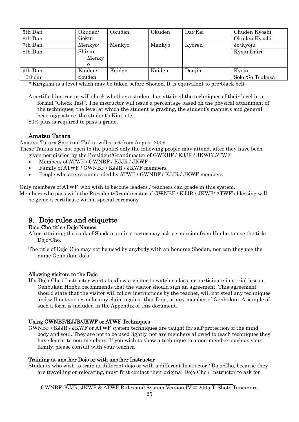| 5th Dan | Okuden/  | Okuden | Okuden | Dai-Kei | Chuden Kyoshi   |
|---------|----------|--------|--------|---------|-----------------|
| 6th Dan | Gokui    |        |        |         | Okuden Kyoshi   |
| 7th Dan | Menkyo/  | Menkyo | Menkyo | Kyoren  | Jo-Kyoju        |
| 8th Dan | Shinan   |        |        |         | Kyoju Dairi     |
|         | Menky    |        |        |         |                 |
|         | $\Omega$ |        |        |         |                 |
| 9th Dan | Kaiden/  | Kaiden | Kaiden | Denjin  | Kyoju           |
| 10thdan | Souden   |        |        |         | Soke/So-Tsukasa |

\* Kirigami is a level which may be taken before Shoden. It is equivalent to pre-black belt

A certified instructor will check whether a student has attained the techniques of their level in a formal "Check Test". The instructor will issue a percentage based on the physical attainment of the techniques, the level at which the student is grading, the student's manners and general bearing/posture, the student's Kiai, etc.

80% plus is required to pass a grade.

### Amatsu Tatara

Amatsu Tatara Spiritual Taikai will start from August 2009.

These Taikais are not open to the public; only the following people may attend, after they have been given permission by the President/Grandmaster of GWNBF / KJJR / JKWF/ ATWF:

- Members of ATWF / GWNBF / KJJR / JKWF
- Family of ATWF / GWNBF / KJJR / JKWF members
- People who are recommended by ATWF / GWNBF / KJJR / JKWF members

Only members of ATWF, who wish to become leaders / teachers can grade in this system.

Members who pass with the President/Grandmaster of GWNBF / KJJR / JKWF/ ATWF's blessing will be given a certificate with a special ceremony.

# <span id="page-24-0"></span>9. Dojo rules and etiquette Dojo-Cho title / Dojo Names

After attaining the rank of Shodan, an instructor may ask permission from Honbu to use the title Dojo-Cho.

The title of Dojo-Cho may not be used by anybody with an honoree Shodan, nor can they use the name Genbukan dojo.

### Allowing visitors to the Dojo

If a Dojo-Cho / Instructor wants to allow a visitor to watch a class, or participate in a trial lesson, Genbukan Honbu recommends that the visitor should sign an agreement. This agreement should state that the visitor will follow instructions by the teacher, will not steal any techniques and will not sue or make any claim against that Dojo, or any member of Genbukan. A sample of such a form is included in the Appendix of this document.

### Using GWNBF/KJJR/JKWF or ATWF Techniques

GWNBF / KJJR / JKWF or ATWF system techniques are taught for self-protection of the mind, body and soul. They are not to be used lightly, nor are members allowed to teach techniques they have learnt to non-members. If you wish to show a technique to a non-member, such as your family, please consult with your teacher.

### Training at another Dojo or with another Instructor

Students who wish to train at different dojo or with a different Instructor / Dojo-Cho, because they are travelling or relocating, must first contact their original Dojo-Cho / Instructor to ask for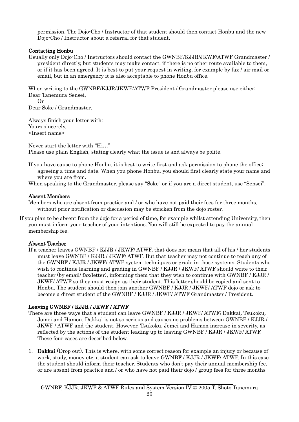permission. The Dojo-Cho / Instructor of that student should then contact Honbu and the new Dojo-Cho / Instructor about a referral for that student.

### Contacting Honbu

Usually only Dojo-Cho / Instructors should contact the GWNBF/KJJR/JKWF/ATWF Grandmaster / president directly, but students may make contact, if there is no other route available to them, or if it has been agreed. It is best to put your request in writing, for example by fax / air mail or email, but in an emergency it is also acceptable to phone Honbu office.

When writing to the GWNBF/KJJR/JKWF/ATWF President / Grandmaster please use either: Dear Tanemura Sensei,

Or Dear Soke / Grandmaster,

Always finish your letter with: Yours sincerely, <Insert name>

Never start the letter with "Hi…" Please use plain English, stating clearly what the issue is and always be polite.

If you have cause to phone Honbu, it is best to write first and ask permission to phone the office; agreeing a time and date. When you phone Honbu, you should first clearly state your name and where you are from.

When speaking to the Grandmaster, please say "Soke" or if you are a direct student, use "Sensei".

### Absent Members

Members who are absent from practice and / or who have not paid their fees for three months, without prior notification or discussion may be stricken from the dojo roster.

If you plan to be absent from the dojo for a period of time, for example whilst attending University, then you must inform your teacher of your intentions. You will still be expected to pay the annual membership fee.

### Absent Teacher

If a teacher leaves GWNBF / KJJR / JKWF/ ATWF, that does not mean that all of his / her students must leave GWNBF / KJJR / JKWF/ ATWF. But that teacher may not continue to teach any of the GWNBF / KJJR / JKWF/ ATWF system techniques or grade in those systems. Students who wish to continue learning and grading in GWNBF / KJJR / JKWF/ ATWF should write to their teacher (by email/ fax/letter), informing them that they wish to continue with GWNBF / KJJR / JKWF/ ATWF so they must resign as their student. This letter should be copied and sent to Honbu. The student should then join another GWNBF / KJJR / JKWF/ ATWF dojo or ask to become a direct student of the GWNBF / KJJR / JKWF/ ATWF Grandmaster / President.

### Leaving GWNBF / KJJR / JKWF / ATWF

- There are three ways that a student can leave GWNBF / KJJR / JKWF/ ATWF; Dakkai, Tsukoku, Jomei and Hamon. Dakkai is not so serious and causes no problems between GWNBF / KJJR / JKWF / ATWF and the student. However, Tsukoku, Jomei and Hamon increase in severity, as reflected by the actions of the student leading up to leaving GWNBF / KJJR / JKWF/ ATWF. These four cases are described below.
- 1. Dakkai (Drop out). This is where, with some correct reason for example an injury or because of work, study, money etc. a student can ask to leave GWNBF / KJJR / JKWF/ ATWF. In this case the student should inform their teacher. Students who don't pay their annual membership fee, or are absent from practice and / or who have not paid their dojo / group fees for three months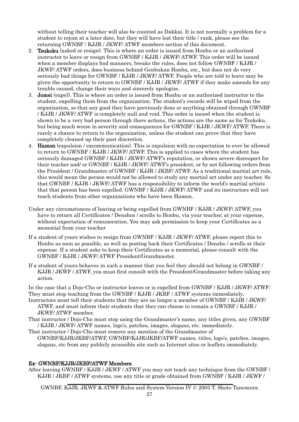without telling their teacher will also be counted as Dakkai. It is not normally a problem for a student to rejoin at a later date, but they will have lost their title / rank, please see the returning GWNBF / KJJR / JKWF/ ATWF members section of this document.

- 2. Tsukoku (asked or resign). This is where an order is issued from Honbu or an authorized instructor to leave or resign from GWNBF / KJJR / JKWF/ ATWF. This order will be issued when a member displays bad manners, breaks the rules, does not follow GWNBF / KJJR / JKWF/ ATWF orders, does business behind Genbukan Honbu, etc., but does not do very seriously bad things for GWNBF / KJJR / JKWF/ ATWF. People who are told to leave may be given the opportunity to return to GWNBF / KJJR / JKWF/ ATWF if they make amends for any trouble caused, change their ways and sincerely apologize.
- 3. Jomei (expel). This is where an order is issued from Honbu or an authorized instructor to the student, expelling them from the organization. The student's records will be wiped from the organization, so that any good they have previously done or anything obtained through GWNBF / KJJR / JKWF/ ATWF is completely null and void. This order is issued when the student is shown to be a very bad person through there actions, the actions are the same as for Tsukoku, but being much worse in severity and consequences for GWNBF / KJJR / JKWF/ ATWF. There is rarely a chance to return to the organization, unless the student can prove that they have completely cleaned up their past discretion.
- 4. Hamon (expulsion / excommunication). This is expulsion with no expectation to ever be allowed to return to GWNBF / KJJR / JKWF/ ATWF. This is applied to cases where the student has seriously damaged GWNBF / KJJR / JKWF/ ATWF's reputation, or shown severe disrespect for their teacher and/ or GWNBF / KJJR / JKWF/ ATWF's president, or by not following orders from the President / Grandmaster of GWNBF / KJJR / JKBF/ ATWF. As a traditional martial art rule, this would mean the person would not be allowed to study any martial art under any teacher. So that GWNBF / KJJR / JKWF/ ATWF has a responsibility to inform the world's martial artists that that person has been expelled. GWNBF / KJJR / JKWF/ ATWF and its instructors will not teach students from other organizations who have been Hamon.
- Under any circumstances of leaving or being expelled from GWNBF / KJJR / JKWF/ ATWF, you have to return all Certificates / Denshos / scrolls to Honbu, via your teacher, at your expense, without expectation of remuneration. You may ask permission to keep your Certificates as a memorial from your teacher
- If a student of yours wishes to resign from GWNBF / KJJR / JKWF/ ATWF, please report this to Honbu as soon as possible, as well as posting back their Certificates / Densho / scrolls at their expense. If a student asks to keep their Certificates as a memorial, please consult with the GWNBF / KJJR / JKWF/ ATWF President/Grandmaster.
- If a student of yours behaves in such a manner that you feel they should not belong in GWNBF / KJJR / JKWF / ATWF, you must first consult with the President/Grandmaster before taking any action.

In the case that a Dojo-Cho or instructor leaves or is expelled from GWNBF / KJJR / JKWF/ ATWF: They must stop teaching from the GWNBF / KJJR / JKBF / ATWF systems immediately.

- Instructors must tell their students that they are no longer a member of GWNBF / KJJR / JKWF/ ATWF, and must inform their students that they can choose to remain a GWNBF / KJJR / JKWF/ ATWF member.
- That instructor / Dojo-Cho must stop using the Grandmaster's name, any titles given, any GWNBF / KJJR / JKWF/ ATWF names, logo's, patches, images, slogans, etc. immediately.
- That instructor / Dojo-Cho must remove any mention of the Grandmaster of GWNBF/KJJR/JKBF/ATWF, GWNBF/KJJR/JKBF/ATWF names, titles, logo's, patches, images, slogans, etc from any publicly accessible site such as Internet sites or leaflets immediately.

### Ex- GWNBF/KJJR/JKBF/ATWF Members

After leaving GWNBF / KJJR / JKWF / ATWF you may not teach any technique from the GWNBF / KJJR / JKBF / ATWF systems, use any title or grade obtained from GWNBF / KJJR / JKWF /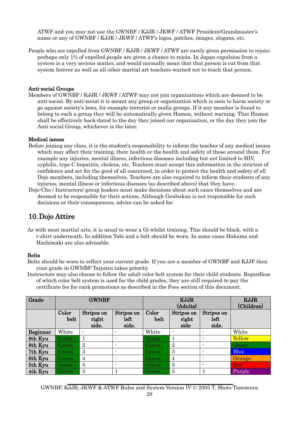ATWF and you may not use the GWNBF / KJJR / JKWF / ATWF President/Grandmaster's name or any of GWNBF / KJJR / JKWF / ATWF's logos, patches, images, slogans, etc.

People who are expelled from GWNBF / KJJR / JKWF / ATWF are rarely given permission to rejoin; perhaps only 1% of expelled people are given a chance to rejoin. In Japan expulsion from a system is a very serious matter, and would normally mean that that person is cut from that system forever as well as all other martial art teachers warned not to touch that person.

### Anti-social Groups

Members of GWNBF / KJJR / JKWF / ATWF may not join organizations which are deemed to be anti-social. By anti-social it is meant any group or organization which is seen to harm society or go against society's laws, for example terrorist or mafia groups. If it any member is found to belong to such a group they will be automatically given Hamon, without warning. That Hamon shall be effectively back-dated to the day they joined our organization, or the day they join the Anti-social Group, whichever is the later.

### Medical issues

- Before joining any class, it is the student's responsibility to inform the teacher of any medical issues which may affect their training, their health or the health and safety of those around them. For example any injuries, mental illness, infectious diseases including but not limited to HIV, syphilis, type C hepatitis, cholera, etc. Teachers must accept this information in the strictest of confidence and act for the good of all concerned, in order to protect the health and safety of all Dojo members, including themselves. Teachers are also required to inform their students of any injuries, mental illness or infectious diseases (as described above) that they have.
- Dojo-Cho / Instructors/ group leaders must make decisions about such cases themselves and are deemed to be responsible for their actions. Although Genbukan is not responsible for such decisions or their consequences, advice can be asked for.

## <span id="page-27-0"></span>10.Dojo Attire

As with most martial arts, it is usual to wear a Gi whilst training. This should be black, with a t-shirt underneath. In addition Tabi and a belt should be worn. In some cases Hakama and Hachimaki are also advisable.

### Belts

- Belts should be worn to reflect your current grade. If you are a member of GWNBF and KJJF then your grade in GWNBF Taijutsu takes priority.
- Instructors may also choose to follow the adult color belt system for their child students. Regardless of which color belt system is used for the child grades, they are still required to pay the certificate fee for rank promotions as described in the Fees section of this document.

| Grade           | <b>GWNBF</b>  |                              |                             | <b>KJJR</b><br>(Adults) |                             |                             | <b>KJJR</b><br>(Children) |
|-----------------|---------------|------------------------------|-----------------------------|-------------------------|-----------------------------|-----------------------------|---------------------------|
|                 | Color<br>belt | Stripes on<br>right<br>side. | Stripes on<br>left<br>side. | Color<br>belt           | Stripes on<br>right<br>side | Stripes on<br>left<br>side. |                           |
| <b>Beginner</b> | White         | $\blacksquare$               | $\overline{\phantom{0}}$    | White                   |                             |                             | White                     |
| 9th Kyu         | Green         |                              | $\overline{\phantom{a}}$    | Green                   |                             | $\overline{\phantom{a}}$    | Yellow                    |
| 8th Kyu         | Green         | $\overline{2}$               | $\overline{\phantom{a}}$    | Green                   | $\overline{2}$              | $\blacksquare$              | Green                     |
| 7th Kyu         | <b>Green</b>  | 3                            | $\blacksquare$              | Green                   | 3                           | $\overline{\phantom{a}}$    | <b>Blue</b>               |
| 6th Kyu         | <b>Green</b>  | $\overline{4}$               | $\overline{\phantom{a}}$    | Green                   | $\overline{4}$              | $\blacksquare$              | <b>Orange</b>             |
| 5th Kyu         | Green         | 5                            | $\blacksquare$              | Green                   | 5                           | $\blacksquare$              | Red                       |
| 4th Kyu         | Green         | 5                            |                             | Green                   | $\overline{5}$              |                             | Purple                    |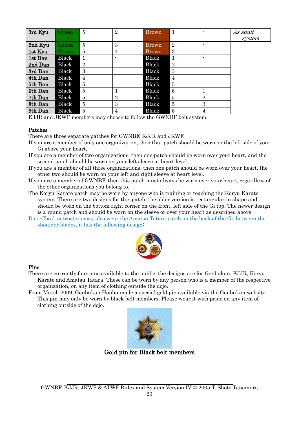| 3rd Kyu | Green | 5              | $\overline{2}$           | Brown        |                | $\overline{\phantom{0}}$ | As adult |
|---------|-------|----------------|--------------------------|--------------|----------------|--------------------------|----------|
|         |       |                |                          |              |                |                          | system   |
| 2nd Kyu | Green | 5              | 3                        | <b>Brown</b> | $\overline{2}$ | $\overline{\phantom{0}}$ |          |
| 1st Kyu | Green | 5              | 4                        | Brown        | 3              | $\overline{\phantom{0}}$ |          |
| 1st Dan | Black |                | $\overline{\phantom{a}}$ | Black        | 1              | $\overline{\phantom{0}}$ |          |
| 2nd Dan | Black | $\overline{2}$ |                          | <b>Black</b> | $\overline{2}$ |                          |          |
| 3rd Dan | Black | 3              |                          | Black        | 3              |                          |          |
| 4th Dan | Black | $\overline{4}$ |                          | Black        | 4              |                          |          |
| 5th Dan | Black | $\overline{5}$ |                          | Black        | $\overline{5}$ |                          |          |
| 6th Dan | Black | 5              |                          | <b>Black</b> | 5              |                          |          |
| 7th Dan | Black | $\overline{5}$ | $\overline{2}$           | Black        | $\overline{5}$ | $\overline{2}$           |          |
| 8th Dan | Black | 5              | 3                        | <b>Black</b> | 5              | 3                        |          |
| 9th Dan | Black | 5              | 4                        | Black        | 5              | 4                        |          |

KJJR and JKWF members may choose to follow the GWNBF belt system.

### Patches

There are three separate patches for GWNBF, KJJR and JKWF.

- If you are a member of only one organization, then that patch should be worn on the left side of your Gi above your heart.
- If you are a member of two organizations, then one patch should be worn over your heart, and the second patch should be worn on your left sleeve at heart level.
- If you are a member of all three organizations, then one patch should be worn over your heart, the other two should be worn on your left and right sleeve at heart level.
- If you are a member of GWNBF, then this patch must always be worn over your heart, regardless of the other organizations you belong to.
- The Koryu Karate patch may be worn by anyone who is training or teaching the Koryu Karate system. There are two designs for this patch, the older version is rectangular in shape and should be worn on the bottom right corner on the front, left side of the Gi top. The newer design is a round patch and should be worn on the sleeve or over your heart as described above.
- Dojo-Cho / instructors may also wear the Amatsu Tatara patch on the back of the Gi, between the shoulder blades, it has the following design:



### Pins

- There are currently four pins available to the public; the designs are for Genbukan, KJJR, Koryu Karate and Amatsu Tatara. These can be worn by any person who is a member of the respective organization, on any item of clothing outside the dojo.
- From March 2009, Genbukan Honbu made a special gold pin available via the Genbukan website. This pin may only be worn by black belt members. Please wear it with pride on any item of clothing outside of the dojo.



Gold pin for Black belt members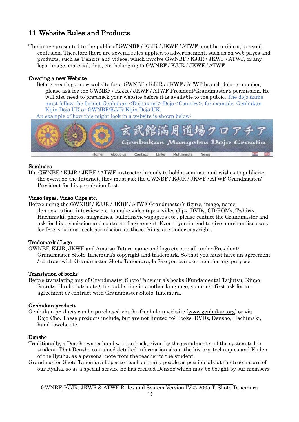## <span id="page-29-0"></span>11.Website Rules and Products

The image presented to the public of GWNBF / KJJR / JKWF / ATWF must be uniform, to avoid confusion. Therefore there are several rules applied to advertisement, such as on web pages and products, such as T-shirts and videos, which involve GWNBF / KJJR / JKWF / ATWF, or any logo, image, material, dojo, etc. belonging to GWNBF / KJJR / JKWF / ATWF.

### Creating a new Website

Before creating a new website for a GWNBF / KJJR / JKWF / ATWF branch dojo or member, please ask for the GWNBF / KJJR / JKWF / ATWF President/Grandmaster's permission. He will also need to pre-check your website before it is available to the public. The dojo name must follow the format Genbukan <Dojo name> Dojo <Country>, for example: Genbukan Kijin Dojo UK or GWNBF/KJJR Kijin Dojo UK.

An example of how this might look in a website is shown below:



### Seminars

If a GWNBF / KJJR / JKBF / ATWF instructor intends to hold a seminar, and wishes to publicize the event on the Internet, they must ask the GWNBF / KJJR / JKWF / ATWF Grandmaster/ President for his permission first.

### Video tapes, Video Clips etc.

Before using the GWNBF / KJJR / JKBF / ATWF Grandmaster's figure, image, name, demonstration, interview etc. to make video tapes, video clips, DVDs, CD-ROMs, T-shirts, Hachimaki, photos, magazines, bulletins/newspapers etc., please contact the Grandmaster and ask for his permission and contract of agreement. Even if you intend to give merchandise away for free, you must seek permission, as these things are under copyright.

### Trademark / Logo

GWNBF, KJJR, JKWF and Amatsu Tatara name and logo etc. are all under President/ Grandmaster Shoto Tanemura's copyright and trademark. So that you must have an agreement / contract with Grandmaster Shoto Tanemura, before you can use them for any purpose.

### Translation of books

Before translating any of Grandmaster Shoto Tanemura's books (Fundamental Taijutsu, Ninpo Secrets, Hanbo-jutsu etc.), for publishing in another language, you must first ask for an agreement or contract with Grandmaster Shoto Tanemura.

### Genbukan products

Genbukan products can be purchased via the Genbukan website [\(www.genbukan.org\)](http://www.genbukan.org/) or via Dojo-Cho. These products include, but are not limited to: Books, DVDs, Densho, Hachimaki, hand towels, etc.

### Densho

- Traditionally, a Densho was a hand written book, given by the grandmaster of the system to his student. That Densho contained detailed information about the history, techniques and Kuden of the Ryuha, as a personal note from the teacher to the student.
- Grandmaster Shoto Tanemura hopes to reach as many people as possible about the true nature of our Ryuha, so as a special service he has created Densho which may be bought by our members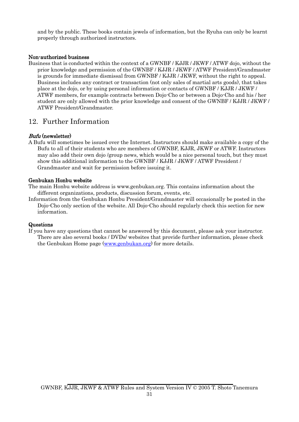and by the public. These books contain jewels of information, but the Ryuha can only be learnt properly through authorized instructors.

### Non-authorized business

Business that is conducted within the context of a GWNBF / KJJR / JKWF / ATWF dojo, without the prior knowledge and permission of the GWNBF / KJJR / JKWF / ATWF President/Grandmaster is grounds for immediate dismissal from GWNBF / KJJR / JKWF, without the right to appeal. Business includes any contract or transaction (not only sales of martial arts goods), that takes place at the dojo, or by using personal information or contacts of GWNBF / KJJR / JKWF / ATWF members, for example contracts between Dojo-Cho or between a Dojo-Cho and his / her student are only allowed with the prior knowledge and consent of the GWNBF / KJJR / JKWF / ATWF President/Grandmaster.

### <span id="page-30-0"></span>12. Further Information

### <span id="page-30-1"></span>Bufu (newsletter)

A Bufu will sometimes be issued over the Internet. Instructors should make available a copy of the Bufu to all of their students who are members of GWNBF, KJJR, JKWF or ATWF. Instructors may also add their own dojo /group news, which would be a nice personal touch, but they must show this additional information to the GWNBF / KJJR / JKWF / ATWF President / Grandmaster and wait for permission before issuing it.

### <span id="page-30-2"></span>Genbukan Honbu website

The main Honbu website address is [www.genbukan.org.](http://www.genbukan.org/) This contains information about the different organizations, products, discussion forum, events, etc.

Information from the Genbukan Honbu President/Grandmaster will occasionally be posted in the Dojo-Cho only section of the website. All Dojo-Cho should regularly check this section for new information.

### <span id="page-30-3"></span>Questions

If you have any questions that cannot be answered by this document, please ask your instructor. There are also several books / DVDs/ websites that provide further information, please check the Genbukan Home page [\(www.genbukan.org\)](http://www.genbukan.org/) for more details.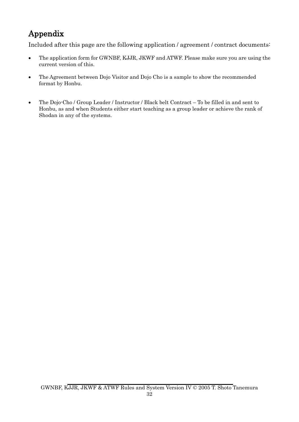# <span id="page-31-0"></span>Appendix

Included after this page are the following application / agreement / contract documents:

- The application form for GWNBF, KJJR, JKWF and ATWF. Please make sure you are using the current version of this.
- The Agreement between Dojo Visitor and Dojo Cho is a sample to show the recommended format by Honbu.
- The Dojo-Cho / Group Leader / Instructor / Black belt Contract To be filled in and sent to Honbu, as and when Students either start teaching as a group leader or achieve the rank of Shodan in any of the systems.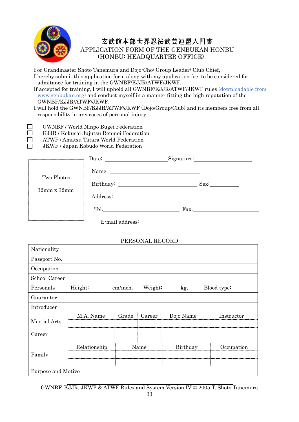

 $\Box$  $\Box$  $\Box$ 

## 玄武館本部世界忍法武芸連盟入門書

APPLICATION FORM OF THE GENBUKAN HONBU (HONBU: HEADQUARTER OFFICE)

 For Grandmaster Shoto Tanemura and Dojo-Cho/ Group Leader/ Club Chief, I hereby submit this application form along with my application fee, to be considered for admitance for training in the GWNBF/KJJR/ATWF/JKWF.

 If accepted for training, I will uphold all GWNBF/KJJR/ATWF/JKWF rules (downloadable from www.genbukan.org) and conduct myself in a manner fitting the high reputation of the GWNBF/KJJR/ATWF/JKWF.

 I will hold the GWNBF/KJJR/ATWF/JKWF (Dojo/Group/Club) and its members free from all responsibility in any cases of personal injury.

- GWNBF / World Ninpo Bugei Federation
- KJJR / Kokusai Jujutsu Renmei Federation
- ATWF / Amatsu Tatara World Federation

JKWF / Japan Kobudo World Federation

|                    |                 | Signature:       |
|--------------------|-----------------|------------------|
| Two Photos         |                 |                  |
|                    |                 | Sex <sup>2</sup> |
| $32mm \times 32mm$ |                 |                  |
|                    |                 | $\Gamma$ ax.     |
|                    | E-mail address: |                  |

## PERSONAL RECORD

| Nationality        |              |          |         |           |             |
|--------------------|--------------|----------|---------|-----------|-------------|
| Passport No.       |              |          |         |           |             |
| Occupation         |              |          |         |           |             |
| School Career      |              |          |         |           |             |
| Personals          | Height:      | cm/inch, | Weight: | kg,       | Blood type: |
| Guarantor          |              |          |         |           |             |
| Introducer         |              |          |         |           |             |
| Martial Arts       | M.A. Name    | Grade    | Career  | Dojo Name | Instructor  |
| Career             |              |          |         |           |             |
|                    | Relationship |          | Name    | Birthday  | Occupation  |
| Family             |              |          |         |           |             |
| Purpose and Motive |              |          |         |           |             |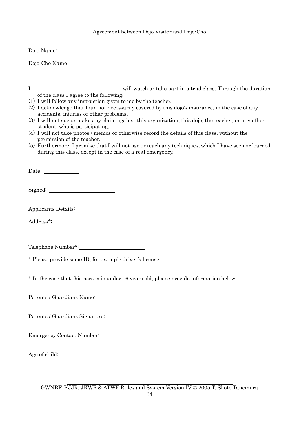### Agreement between Dojo Visitor and Dojo-Cho

<span id="page-33-0"></span>

| Dojo Name: |  |  |
|------------|--|--|
|            |  |  |

| Dojo-Cho Name: |  |  |
|----------------|--|--|
|                |  |  |

- I will watch or take part in a trial class. Through the duration of the class I agree to the following;
- (1) I will follow any instruction given to me by the teacher,
- (2) I acknowledge that I am not necessarily covered by this dojo's insurance, in the case of any accidents, injuries or other problems,
- (3) I will not sue or make any claim against this organization, this dojo, the teacher, or any other student, who is participating.
- (4) I will not take photos / memos or otherwise record the details of this class, without the permission of the teacher.
- (5) Furthermore, I promise that I will not use or teach any techniques, which I have seen or learned during this class, except in the case of a real emergency.

Date:

Signed:

Applicants Details:

Address\*:

 $\overline{a}$ 

Telephone Number\*:

\* Please provide some ID, for example driver's license.

\* In the case that this person is under 16 years old, please provide information below:

Parents / Guardians Name:

Parents / Guardians Signature:

Emergency Contact Number: Number:

Age of child: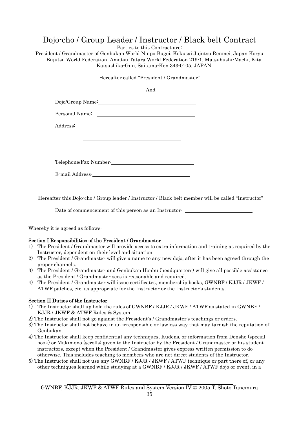## Dojo-cho / Group Leader / Instructor / Black belt Contract

Parties to this Contract are:

President / Grandmaster of Genbukan World Ninpo Bugei, Kokusai Jujutsu Renmei, Japan Koryu Bujutsu World Federation, Amatsu Tatara World Federation 219-1, Matsubushi-Machi, Kita Katsushika-Gun, Saitama-Ken 343-0105, JAPAN

Hereafter called "President / Grandmaster"

|          | And                   |
|----------|-----------------------|
|          |                       |
|          |                       |
| Address: |                       |
|          |                       |
|          |                       |
|          | Telephone/Fax Number: |

Hereafter this Dojo-cho / Group leader / Instructor / Black belt member will be called "Instructor"

Date of commencement of this person as an Instructor:

Whereby it is agreed as follows:

E-mail Address:

### Section I Responsibilities of the President / Grandmaster

- 1) The President / Grandmaster will provide access to extra information and training as required by the Instructor, dependent on their level and situation.
- 2) The President / Grandmaster will give a name to any new dojo, after it has been agreed through the proper channels.
- 3) The President / Grandmaster and Genbukan Honbu (headquarters) will give all possible assistance as the President / Grandmaster sees is reasonable and required.
- 4) The President / Grandmaster will issue certificates, membership books, GWNBF / KJJR / JKWF / ATWF patches, etc. as appropriate for the Instructor or the Instructor's students.

### Section II Duties of the Instructor

- 1) The Instructor shall up hold the rules of GWNBF / KJJR / JKWF / ATWF as stated in GWNBF / KJJR / JKWF & ATWF Rules & System.
- 2) The Instructor shall not go against the President's / Grandmaster's teachings or orders.
- 3) The Instructor shall not behave in an irresponsible or lawless way that may tarnish the reputation of Genbukan.
- 4) The Instructor shall keep confidential any techniques, Kudens, or information from Densho (special book) or Makimono (scrolls) given to the Instructor by the President / Grandmaster or his student instructors, except when the President / Grandmaster gives express written permission to do otherwise. This includes teaching to members who are not direct students of the Instructor.
- 5) The Instructor shall not use any GWNBF / KJJR / JKWF / ATWF technique or part there of, or any other techniques learned while studying at a GWNBF / KJJR / JKWF / ATWF dojo or event, in a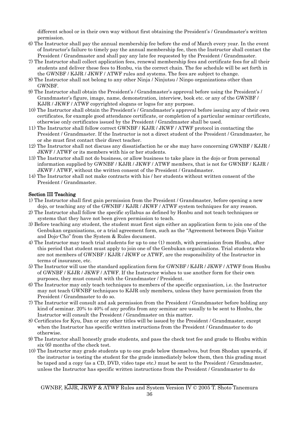different school or in their own way without first obtaining the President's / Grandmaster's written permission.

- 6) The Instructor shall pay the annual membership fee before the end of March every year. In the event of Instructor's failure to timely pay the annual membership fee, then the Instructor shall contact the President / Grandmaster and shall pay any late fee requested by the President / Grandmaster.
- 7) The Instructor shall collect application fees, renewal membership fees and certificate fees for all their students and deliver these fees to Honbu, via the correct chain. The fee schedule will be set forth in the GWNBF / KJJR / JKWF / ATWF rules and systems. The fees are subject to change.
- 8) The Instructor shall not belong to any other Ninja / Ninjutsu / Ninpo organizations other than GWNBF.
- 9) The Instructor shall obtain the President's / Grandmaster's approval before using the President's / Grandmaster's figure, image, name, demonstration, interview, book etc. or any of the GWNBF / KJJR / JKWF / ATWF copyrighted slogans or logos for any purpose.
- 10) The Instructor shall obtain the President's / Grandmaster's approval before issuing any of their own certificates, for example good attendance certificate, or completion of a particular seminar certificate, otherwise only certificates issued by the President / Grandmaster shall be used.
- 11) The Instructor shall follow correct GWNBF / KJJR / JKWF / ATWF protocol in contacting the President / Grandmaster. If the Instructor is not a direct student of the President / Grandmaster, he or she must first contact their direct teacher.
- 12) The Instructor shall not discuss any dissatisfaction he or she may have concerning GWNBF / KJJR / JKWF / ATWF or its members with his or her students.
- 13) The Instructor shall not do business, or allow business to take place in the dojo or from personal information supplied by GWNBF / KJJR / JKWF / ATWF members, that is not for GWNBF / KJJR / JKWF / ATWF, without the written consent of the President / Grandmaster.
- 14) The Instructor shall not make contracts with his / her students without written consent of the President / Grandmaster.

### Section III Teaching

- 1) The Instructor shall first gain permission from the President / Grandmaster, before opening a new dojo, or teaching any of the GWNBF / KJJR / JKWF / ATWF system techniques for any reason.
- 2) The Instructor shall follow the specific syllabus as defined by Honbu and not teach techniques or systems that they have not been given permission to teach.
- 3) Before teaching any student, the student must first sign either an application form to join one of the Genbukan organisations, or a trial agreement form, such as the "Agreement between Dojo Visitor and Dojo-Cho" from the System & Rules document.
- 4) The Instructor may teach trial students for up to one (1) month, with permission from Honbu, after this period that student must apply to join one of the Genbukan organisations. Trial students who are not members of GWNBF / KJJR / JKWF or ATWF, are the responsibility of the Instructor in terms of insurance, etc.
- 5) The Instructor will use the standard application form for GWNBF / KJJR / JKWF / ATWF from Honbu of GWNBF / KJJR / JKWF / ATWF. If the Instructor wishes to use another form for their own purposes, they must consult with the Grandmaster / President.
- 6) The Instructor may only teach techniques to members of the specific organisation, i.e. the Instructor may not teach GWNBF techniques to KJJR only members, unless they have permission from the President / Grandmaster to do so.
- 7) The Instructor will consult and ask permission from the President / Grandmaster before holding any kind of seminar. 20% to 40% of any profits from any seminar are usually to be sent to Honbu, the Instructor will consult the President / Grandmaster on this matter.
- 8) Certificates for Kyu, Dan or any other titles will be issued by the President / Grandmaster, except when the Instructor has specific written instructions from the President / Grandmaster to do otherwise.
- 9) The Instructor shall honestly grade students, and pass the check test fee and grade to Honbu within six (6) months of the check test.
- 10) The Instructor may grade students up to one grade below themselves, but from Shodan upwards, if the instructor is testing the student for the grade immediately below them, then this grading must be taped and a copy (as a CD, DVD, video tape etc.) must be sent to the President / Grandmaster, unless the Instructor has specific written instructions from the President / Grandmaster to do